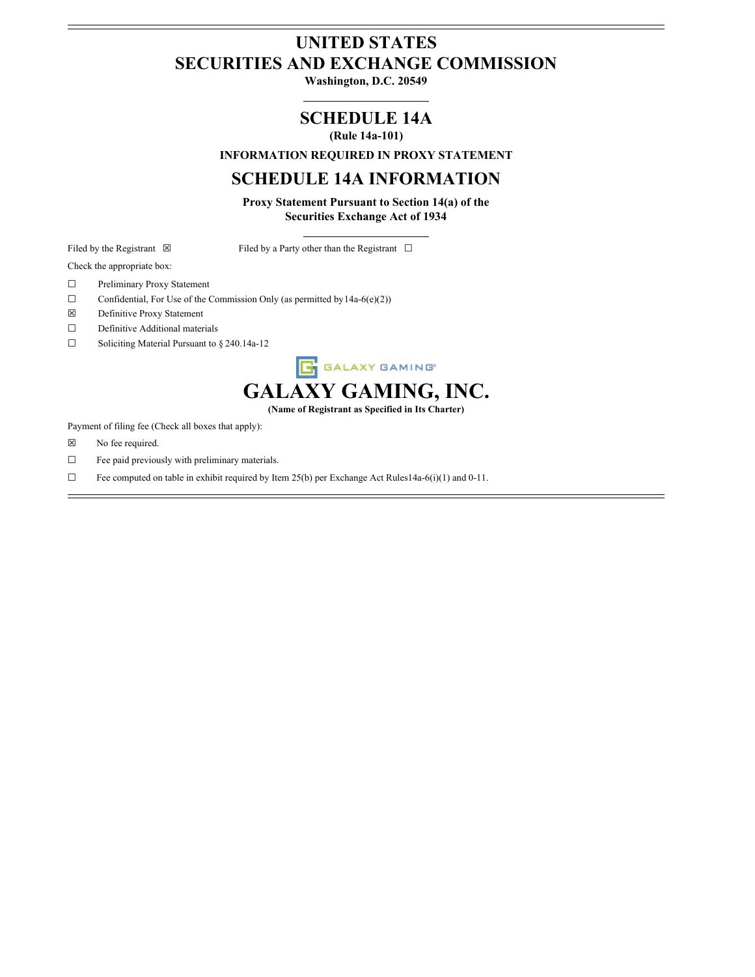# **UNITED STATES SECURITIES AND EXCHANGE COMMISSION**

**Washington, D.C. 20549**

**SCHEDULE 14A**

**(Rule 14a-101)**

**INFORMATION REQUIRED IN PROXY STATEMENT**

## **SCHEDULE 14A INFORMATION**

**Proxy Statement Pursuant to Section 14(a) of the Securities Exchange Act of 1934**

Filed by the Registrant  $\boxtimes$  Filed by a Party other than the Registrant  $\Box$ 

Check the appropriate box:

- ☐ Preliminary Proxy Statement
- $\Box$  Confidential, For Use of the Commission Only (as permitted by 14a-6(e)(2))
- ☒ Definitive Proxy Statement
- □ Definitive Additional materials
- ☐ Soliciting Material Pursuant to § 240.14a-12



**(Name of Registrant as Specified in Its Charter)**

Payment of filing fee (Check all boxes that apply):

- ☒ No fee required.
- ☐ Fee paid previously with preliminary materials.
- $\Box$  Fee computed on table in exhibit required by Item 25(b) per Exchange Act Rules14a-6(i)(1) and 0-11.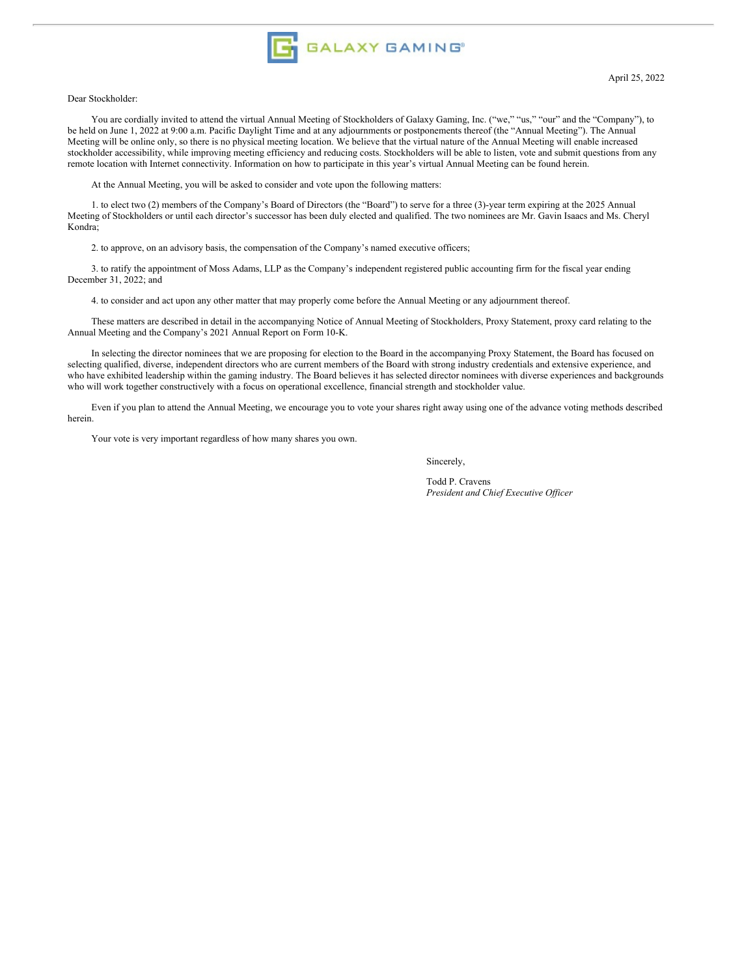

#### Dear Stockholder:

You are cordially invited to attend the virtual Annual Meeting of Stockholders of Galaxy Gaming, Inc. ("we," "us," "our" and the "Company"), to be held on June 1, 2022 at 9:00 a.m. Pacific Daylight Time and at any adjournments or postponements thereof (the "Annual Meeting"). The Annual Meeting will be online only, so there is no physical meeting location. We believe that the virtual nature of the Annual Meeting will enable increased stockholder accessibility, while improving meeting efficiency and reducing costs. Stockholders will be able to listen, vote and submit questions from any remote location with Internet connectivity. Information on how to participate in this year's virtual Annual Meeting can be found herein.

At the Annual Meeting, you will be asked to consider and vote upon the following matters:

1. to elect two (2) members of the Company's Board of Directors (the "Board") to serve for a three (3)-year term expiring at the 2025 Annual Meeting of Stockholders or until each director's successor has been duly elected and qualified. The two nominees are Mr. Gavin Isaacs and Ms. Cheryl Kondra;

2. to approve, on an advisory basis, the compensation of the Company's named executive officers;

3. to ratify the appointment of Moss Adams, LLP as the Company's independent registered public accounting firm for the fiscal year ending December 31, 2022; and

4. to consider and act upon any other matter that may properly come before the Annual Meeting or any adjournment thereof.

These matters are described in detail in the accompanying Notice of Annual Meeting of Stockholders, Proxy Statement, proxy card relating to the Annual Meeting and the Company's 2021 Annual Report on Form 10-K.

In selecting the director nominees that we are proposing for election to the Board in the accompanying Proxy Statement, the Board has focused on selecting qualified, diverse, independent directors who are current members of the Board with strong industry credentials and extensive experience, and who have exhibited leadership within the gaming industry. The Board believes it has selected director nominees with diverse experiences and backgrounds who will work together constructively with a focus on operational excellence, financial strength and stockholder value.

Even if you plan to attend the Annual Meeting, we encourage you to vote your shares right away using one of the advance voting methods described herein.

Your vote is very important regardless of how many shares you own.

Sincerely,

Todd P. Cravens *President and Chief Executive Of icer*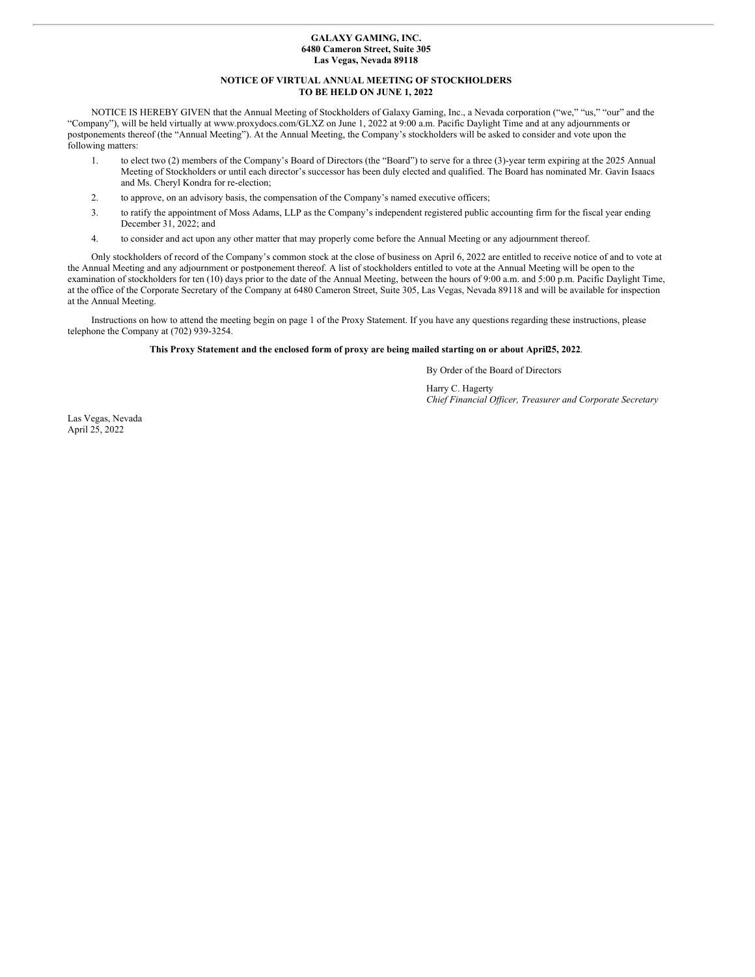#### **GALAXY GAMING, INC. 6480 Cameron Street, Suite 305 Las Vegas, Nevada 89118**

### **NOTICE OF VIRTUAL ANNUAL MEETING OF STOCKHOLDERS TO BE HELD ON JUNE 1, 2022**

NOTICE IS HEREBY GIVEN that the Annual Meeting of Stockholders of Galaxy Gaming, Inc., a Nevada corporation ("we," "us," "our" and the "Company"), will be held virtually at www.proxydocs.com/GLXZ on June 1, 2022 at 9:00 a.m. Pacific Daylight Time and at any adjournments or postponements thereof (the "Annual Meeting"). At the Annual Meeting, the Company's stockholders will be asked to consider and vote upon the following matters:

- 1. to elect two (2) members of the Company's Board of Directors (the "Board") to serve for a three (3)-year term expiring at the 2025 Annual Meeting of Stockholders or until each director's successor has been duly elected and qualified. The Board has nominated Mr. Gavin Isaacs and Ms. Cheryl Kondra for re-election;
- 2. to approve, on an advisory basis, the compensation of the Company's named executive officers;
- 3. to ratify the appointment of Moss Adams, LLP as the Company's independent registered public accounting firm for the fiscal year ending December 31, 2022; and
- 4. to consider and act upon any other matter that may properly come before the Annual Meeting or any adjournment thereof.

Only stockholders of record of the Company's common stock at the close of business on April 6, 2022 are entitled to receive notice of and to vote at the Annual Meeting and any adjournment or postponement thereof. A list of stockholders entitled to vote at the Annual Meeting will be open to the examination of stockholders for ten (10) days prior to the date of the Annual Meeting, between the hours of 9:00 a.m. and 5:00 p.m. Pacific Daylight Time, at the office of the Corporate Secretary of the Company at 6480 Cameron Street, Suite 305, Las Vegas, Nevada 89118 and will be available for inspection at the Annual Meeting.

Instructions on how to attend the meeting begin on page 1 of the Proxy Statement. If you have any questions regarding these instructions, please telephone the Company at (702) 939-3254.

## This Proxy Statement and the enclosed form of proxy are being mailed starting on or about April25, 2022.

By Order of the Board of Directors

Harry C. Hagerty *Chief Financial Of icer, Treasurer and Corporate Secretary*

Las Vegas, Nevada April 25, 2022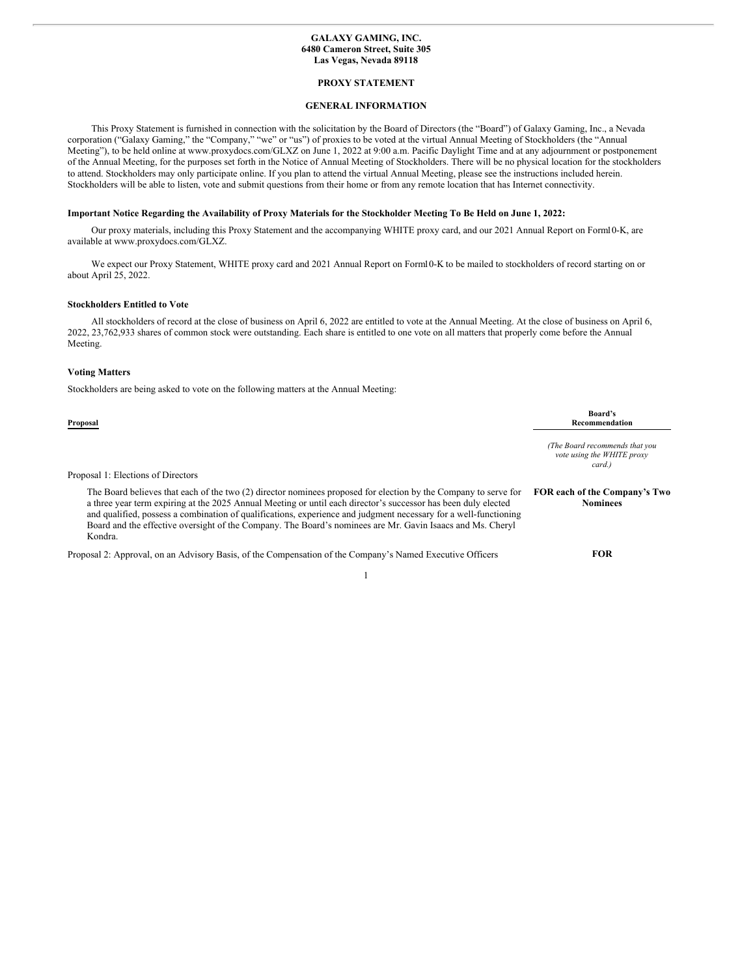#### **GALAXY GAMING, INC. 6480 Cameron Street, Suite 305 Las Vegas, Nevada 89118**

#### **PROXY STATEMENT**

## **GENERAL INFORMATION**

This Proxy Statement is furnished in connection with the solicitation by the Board of Directors (the "Board") of Galaxy Gaming, Inc., a Nevada corporation ("Galaxy Gaming," the "Company," "we" or "us") of proxies to be voted at the virtual Annual Meeting of Stockholders (the "Annual Meeting"), to be held online at www.proxydocs.com/GLXZ on June 1, 2022 at 9:00 a.m. Pacific Daylight Time and at any adjournment or postponement of the Annual Meeting, for the purposes set forth in the Notice of Annual Meeting of Stockholders. There will be no physical location for the stockholders to attend. Stockholders may only participate online. If you plan to attend the virtual Annual Meeting, please see the instructions included herein. Stockholders will be able to listen, vote and submit questions from their home or from any remote location that has Internet connectivity.

#### Important Notice Regarding the Availability of Proxy Materials for the Stockholder Meeting To Be Held on June 1, 2022:

Our proxy materials, including this Proxy Statement and the accompanying WHITE proxy card, and our 2021 Annual Report on Form10-K, are available at www.proxydocs.com/GLXZ.

We expect our Proxy Statement, WHITE proxy card and 2021 Annual Report on Form10-K to be mailed to stockholders of record starting on or about April 25, 2022.

#### **Stockholders Entitled to Vote**

All stockholders of record at the close of business on April 6, 2022 are entitled to vote at the Annual Meeting. At the close of business on April 6, 2022, 23,762,933 shares of common stock were outstanding. Each share is entitled to one vote on all matters that properly come before the Annual Meeting.

## **Voting Matters**

Stockholders are being asked to vote on the following matters at the Annual Meeting:

| Recommendation                                                         |
|------------------------------------------------------------------------|
| (The Board recommends that you<br>vote using the WHITE proxy<br>card.) |
|                                                                        |
| FOR each of the Company's Two<br><b>Nominees</b>                       |
|                                                                        |

Proposal 2: Approval, on an Advisory Basis, of the Compensation of the Company's Named Executive Officers **FOR**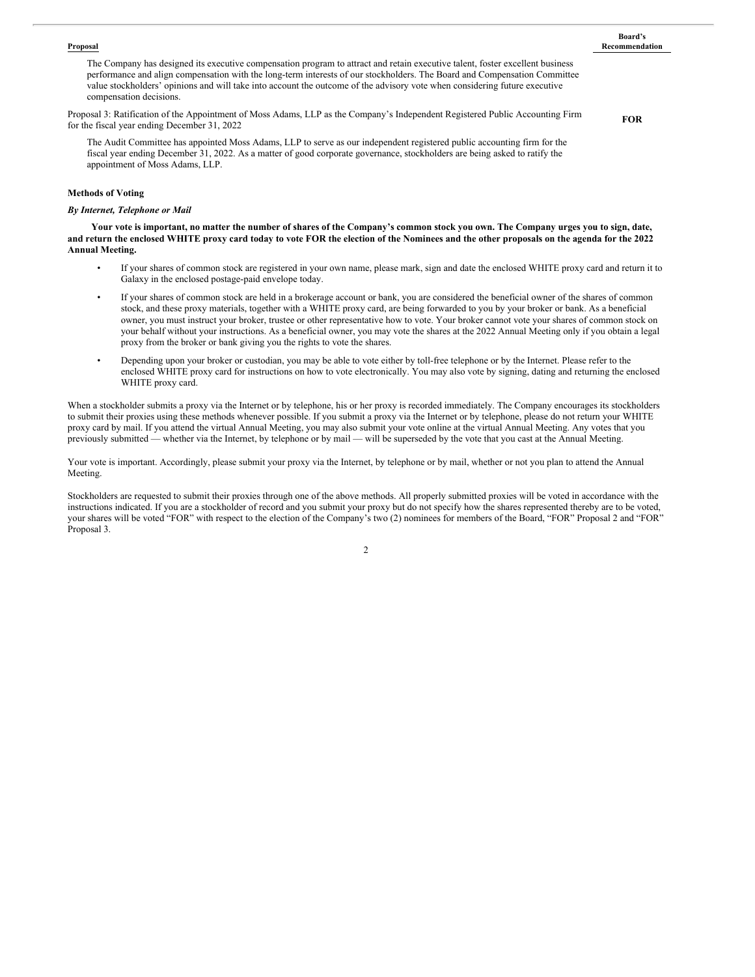#### **Proposal**

#### **Board's Recommendation**

The Company has designed its executive compensation program to attract and retain executive talent, foster excellent business performance and align compensation with the long-term interests of our stockholders. The Board and Compensation Committee value stockholders' opinions and will take into account the outcome of the advisory vote when considering future executive compensation decisions.

Proposal 3: Ratification of the Appointment of Moss Adams, LLP as the Company's Independent Registered Public Accounting Firm for the fiscal year ending December 31, 2022

**FOR**

The Audit Committee has appointed Moss Adams, LLP to serve as our independent registered public accounting firm for the fiscal year ending December 31, 2022. As a matter of good corporate governance, stockholders are being asked to ratify the appointment of Moss Adams, LLP.

### **Methods of Voting**

#### *By Internet, Telephone or Mail*

Your vote is important, no matter the number of shares of the Company's common stock you own. The Company urges you to sign, date, and return the enclosed WHITE proxy card today to vote FOR the election of the Nominees and the other proposals on the agenda for the 2022 **Annual Meeting.**

- If your shares of common stock are registered in your own name, please mark, sign and date the enclosed WHITE proxy card and return it to Galaxy in the enclosed postage-paid envelope today.
- If your shares of common stock are held in a brokerage account or bank, you are considered the beneficial owner of the shares of common stock, and these proxy materials, together with a WHITE proxy card, are being forwarded to you by your broker or bank. As a beneficial owner, you must instruct your broker, trustee or other representative how to vote. Your broker cannot vote your shares of common stock on your behalf without your instructions. As a beneficial owner, you may vote the shares at the 2022 Annual Meeting only if you obtain a legal proxy from the broker or bank giving you the rights to vote the shares.
- Depending upon your broker or custodian, you may be able to vote either by toll-free telephone or by the Internet. Please refer to the enclosed WHITE proxy card for instructions on how to vote electronically. You may also vote by signing, dating and returning the enclosed WHITE proxy card.

When a stockholder submits a proxy via the Internet or by telephone, his or her proxy is recorded immediately. The Company encourages its stockholders to submit their proxies using these methods whenever possible. If you submit a proxy via the Internet or by telephone, please do not return your WHITE proxy card by mail. If you attend the virtual Annual Meeting, you may also submit your vote online at the virtual Annual Meeting. Any votes that you previously submitted — whether via the Internet, by telephone or by mail — will be superseded by the vote that you cast at the Annual Meeting.

Your vote is important. Accordingly, please submit your proxy via the Internet, by telephone or by mail, whether or not you plan to attend the Annual Meeting.

Stockholders are requested to submit their proxies through one of the above methods. All properly submitted proxies will be voted in accordance with the instructions indicated. If you are a stockholder of record and you submit your proxy but do not specify how the shares represented thereby are to be voted, your shares will be voted "FOR" with respect to the election of the Company's two (2) nominees for members of the Board, "FOR" Proposal 2 and "FOR" Proposal 3.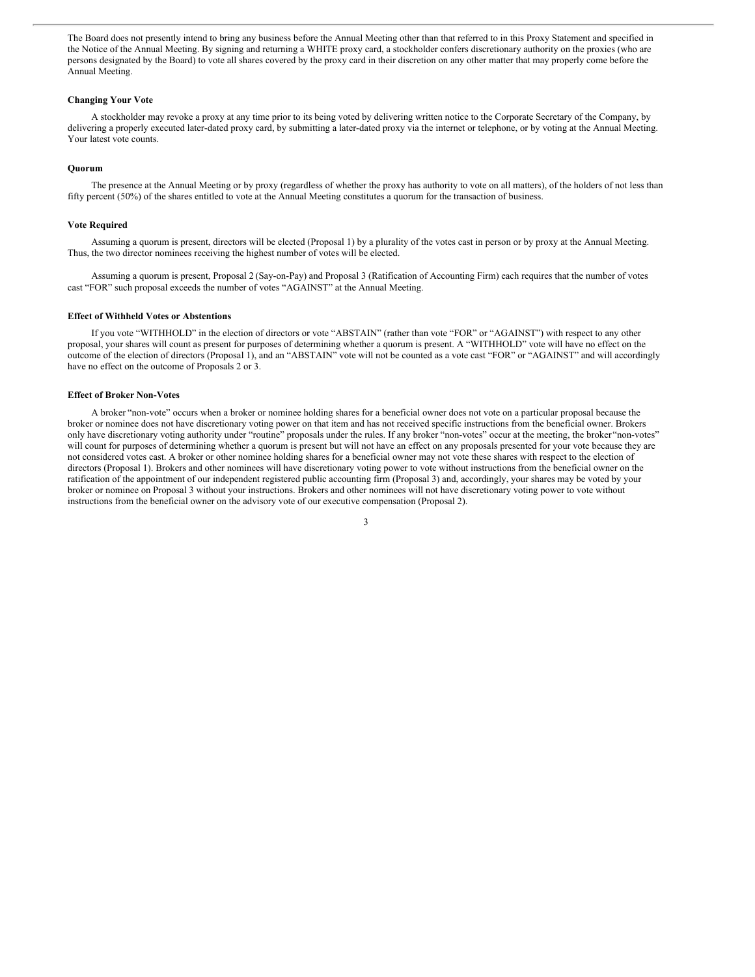The Board does not presently intend to bring any business before the Annual Meeting other than that referred to in this Proxy Statement and specified in the Notice of the Annual Meeting. By signing and returning a WHITE proxy card, a stockholder confers discretionary authority on the proxies (who are persons designated by the Board) to vote all shares covered by the proxy card in their discretion on any other matter that may properly come before the Annual Meeting.

#### **Changing Your Vote**

A stockholder may revoke a proxy at any time prior to its being voted by delivering written notice to the Corporate Secretary of the Company, by delivering a properly executed later-dated proxy card, by submitting a later-dated proxy via the internet or telephone, or by voting at the Annual Meeting. Your latest vote counts.

#### **Quorum**

The presence at the Annual Meeting or by proxy (regardless of whether the proxy has authority to vote on all matters), of the holders of not less than fifty percent (50%) of the shares entitled to vote at the Annual Meeting constitutes a quorum for the transaction of business.

#### **Vote Required**

Assuming a quorum is present, directors will be elected (Proposal 1) by a plurality of the votes cast in person or by proxy at the Annual Meeting. Thus, the two director nominees receiving the highest number of votes will be elected.

Assuming a quorum is present, Proposal 2 (Say-on-Pay) and Proposal 3 (Ratification of Accounting Firm) each requires that the number of votes cast "FOR" such proposal exceeds the number of votes "AGAINST" at the Annual Meeting.

#### **Effect of Withheld Votes or Abstentions**

If you vote "WITHHOLD" in the election of directors or vote "ABSTAIN" (rather than vote "FOR" or "AGAINST") with respect to any other proposal, your shares will count as present for purposes of determining whether a quorum is present. A "WITHHOLD" vote will have no effect on the outcome of the election of directors (Proposal 1), and an "ABSTAIN" vote will not be counted as a vote cast "FOR" or "AGAINST" and will accordingly have no effect on the outcome of Proposals 2 or 3.

#### **Effect of Broker Non-Votes**

A broker "non-vote" occurs when a broker or nominee holding shares for a beneficial owner does not vote on a particular proposal because the broker or nominee does not have discretionary voting power on that item and has not received specific instructions from the beneficial owner. Brokers only have discretionary voting authority under "routine" proposals under the rules. If any broker "non-votes" occur at the meeting, the broker "non-votes" will count for purposes of determining whether a quorum is present but will not have an effect on any proposals presented for your vote because they are not considered votes cast. A broker or other nominee holding shares for a beneficial owner may not vote these shares with respect to the election of directors (Proposal 1). Brokers and other nominees will have discretionary voting power to vote without instructions from the beneficial owner on the ratification of the appointment of our independent registered public accounting firm (Proposal 3) and, accordingly, your shares may be voted by your broker or nominee on Proposal 3 without your instructions. Brokers and other nominees will not have discretionary voting power to vote without instructions from the beneficial owner on the advisory vote of our executive compensation (Proposal 2).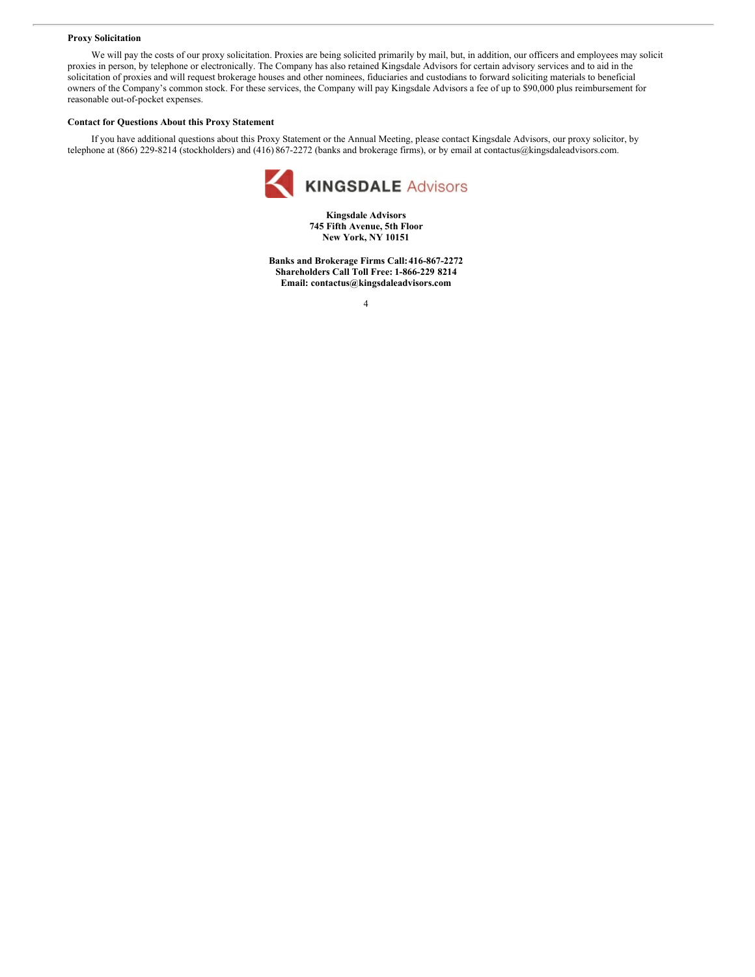#### **Proxy Solicitation**

We will pay the costs of our proxy solicitation. Proxies are being solicited primarily by mail, but, in addition, our officers and employees may solicit proxies in person, by telephone or electronically. The Company has also retained Kingsdale Advisors for certain advisory services and to aid in the solicitation of proxies and will request brokerage houses and other nominees, fiduciaries and custodians to forward soliciting materials to beneficial owners of the Company's common stock. For these services, the Company will pay Kingsdale Advisors a fee of up to \$90,000 plus reimbursement for reasonable out-of-pocket expenses.

#### **Contact for Questions About this Proxy Statement**

If you have additional questions about this Proxy Statement or the Annual Meeting, please contact Kingsdale Advisors, our proxy solicitor, by telephone at (866) 229-8214 (stockholders) and (416) 867-2272 (banks and brokerage firms), or by email at contactus@kingsdaleadvisors.com.



**Kingsdale Advisors 745 Fifth Avenue, 5th Floor New York, NY 10151**

**Banks and Brokerage Firms Call:416-867-2272 Shareholders Call Toll Free: 1-866-229 8214 Email: contactus@kingsdaleadvisors.com**

<sup>4</sup>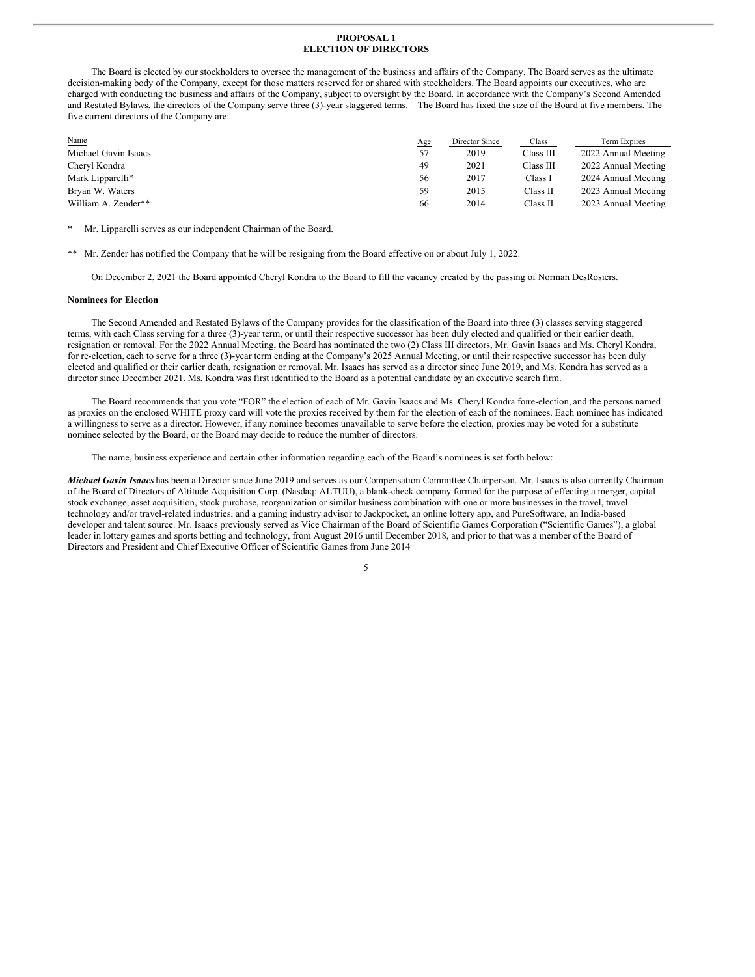#### **PROPOSAL 1 ELECTION OF DIRECTORS**

The Board is elected by our stockholders to oversee the management of the business and affairs of the Company. The Board serves as the ultimate decision-making body of the Company, except for those matters reserved for or shared with stockholders. The Board appoints our executives, who are charged with conducting the business and affairs of the Company, subject to oversight by the Board. In accordance with the Company's Second Amended and Restated Bylaws, the directors of the Company serve three (3)-year staggered terms. The Board has fixed the size of the Board at five members. The five current directors of the Company are:

| Name                 | <u>Age</u> | Director Since | Class     | Term Expires        |
|----------------------|------------|----------------|-----------|---------------------|
| Michael Gavin Isaacs | 57         | 2019           | Class III | 2022 Annual Meeting |
| Cheryl Kondra        | 49         | 2021           | Class III | 2022 Annual Meeting |
| Mark Lipparelli*     | 56         | 2017           | Class I   | 2024 Annual Meeting |
| Bryan W. Waters      | 59         | 2015           | Class II  | 2023 Annual Meeting |
| William A. Zender**  | 66         | 2014           | Class II  | 2023 Annual Meeting |

Mr. Lipparelli serves as our independent Chairman of the Board.

\*\* Mr. Zender has notified the Company that he will be resigning from the Board effective on or about July 1, 2022.

On December 2, 2021 the Board appointed Cheryl Kondra to the Board to fill the vacancy created by the passing of Norman DesRosiers.

#### **Nominees for Election**

The Second Amended and Restated Bylaws of the Company provides for the classification of the Board into three (3) classes serving staggered terms, with each Class serving for a three (3)-year term, or until their respective successor has been duly elected and qualified or their earlier death, resignation or removal. For the 2022 Annual Meeting, the Board has nominated the two (2) Class III directors, Mr. Gavin Isaacs and Ms. Cheryl Kondra, for re-election, each to serve for a three (3)-year term ending at the Company's 2025 Annual Meeting, or until their respective successor has been duly elected and qualified or their earlier death, resignation or removal. Mr. Isaacs has served as a director since June 2019, and Ms. Kondra has served as a director since December 2021. Ms. Kondra was first identified to the Board as a potential candidate by an executive search firm.

The Board recommends that you vote "FOR" the election of each of Mr. Gavin Isaacs and Ms. Cheryl Kondra forre-election, and the persons named as proxies on the enclosed WHITE proxy card will vote the proxies received by them for the election of each of the nominees. Each nominee has indicated a willingness to serve as a director. However, if any nominee becomes unavailable to serve before the election, proxies may be voted for a substitute nominee selected by the Board, or the Board may decide to reduce the number of directors.

The name, business experience and certain other information regarding each of the Board's nominees is set forth below:

*Michael Gavin Isaacs* has been a Director since June 2019 and serves as our Compensation Committee Chairperson. Mr. Isaacs is also currently Chairman of the Board of Directors of Altitude Acquisition Corp. (Nasdaq: ALTUU), a blank-check company formed for the purpose of effecting a merger, capital stock exchange, asset acquisition, stock purchase, reorganization or similar business combination with one or more businesses in the travel, travel technology and/or travel-related industries, and a gaming industry advisor to Jackpocket, an online lottery app, and PureSoftware, an India-based developer and talent source. Mr. Isaacs previously served as Vice Chairman of the Board of Scientific Games Corporation ("Scientific Games"), a global leader in lottery games and sports betting and technology, from August 2016 until December 2018, and prior to that was a member of the Board of Directors and President and Chief Executive Officer of Scientific Games from June 2014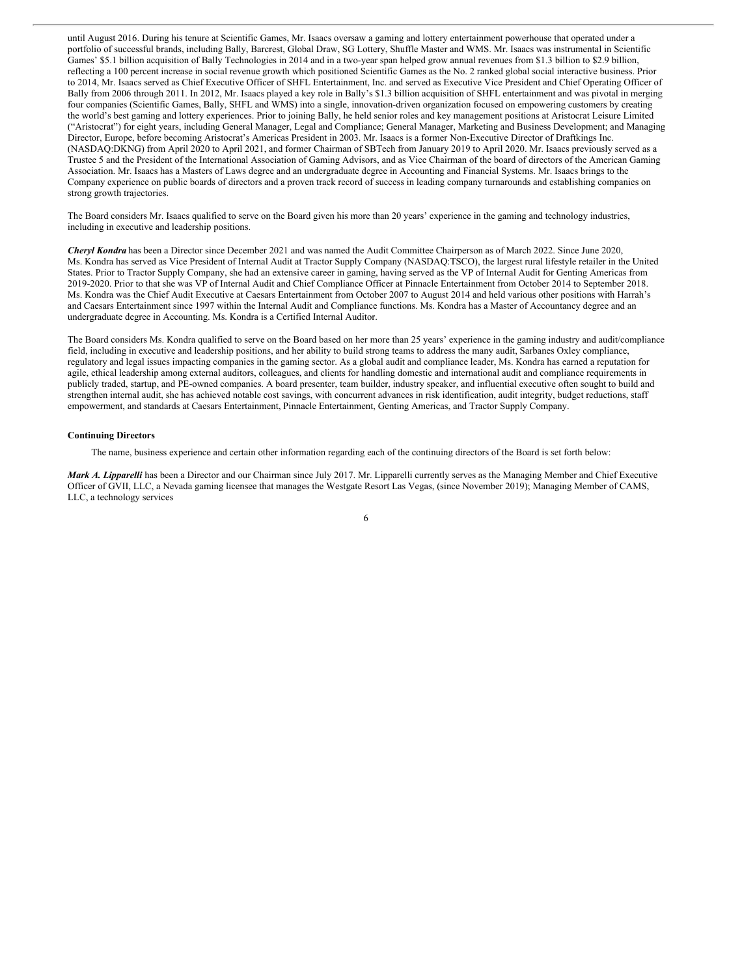until August 2016. During his tenure at Scientific Games, Mr. Isaacs oversaw a gaming and lottery entertainment powerhouse that operated under a portfolio of successful brands, including Bally, Barcrest, Global Draw, SG Lottery, Shuffle Master and WMS. Mr. Isaacs was instrumental in Scientific Games' \$5.1 billion acquisition of Bally Technologies in 2014 and in a two-year span helped grow annual revenues from \$1.3 billion to \$2.9 billion, reflecting a 100 percent increase in social revenue growth which positioned Scientific Games as the No. 2 ranked global social interactive business. Prior to 2014, Mr. Isaacs served as Chief Executive Officer of SHFL Entertainment, Inc. and served as Executive Vice President and Chief Operating Officer of Bally from 2006 through 2011. In 2012, Mr. Isaacs played a key role in Bally's \$1.3 billion acquisition of SHFL entertainment and was pivotal in merging four companies (Scientific Games, Bally, SHFL and WMS) into a single, innovation-driven organization focused on empowering customers by creating the world's best gaming and lottery experiences. Prior to joining Bally, he held senior roles and key management positions at Aristocrat Leisure Limited ("Aristocrat") for eight years, including General Manager, Legal and Compliance; General Manager, Marketing and Business Development; and Managing Director, Europe, before becoming Aristocrat's Americas President in 2003. Mr. Isaacs is a former Non-Executive Director of Draftkings Inc. (NASDAQ:DKNG) from April 2020 to April 2021, and former Chairman of SBTech from January 2019 to April 2020. Mr. Isaacs previously served as a Trustee 5 and the President of the International Association of Gaming Advisors, and as Vice Chairman of the board of directors of the American Gaming Association. Mr. Isaacs has a Masters of Laws degree and an undergraduate degree in Accounting and Financial Systems. Mr. Isaacs brings to the Company experience on public boards of directors and a proven track record of success in leading company turnarounds and establishing companies on strong growth trajectories.

The Board considers Mr. Isaacs qualified to serve on the Board given his more than 20 years' experience in the gaming and technology industries, including in executive and leadership positions.

*Cheryl Kondra* has been a Director since December 2021 and was named the Audit Committee Chairperson as of March 2022. Since June 2020, Ms. Kondra has served as Vice President of Internal Audit at Tractor Supply Company (NASDAQ:TSCO), the largest rural lifestyle retailer in the United States. Prior to Tractor Supply Company, she had an extensive career in gaming, having served as the VP of Internal Audit for Genting Americas from 2019-2020. Prior to that she was VP of Internal Audit and Chief Compliance Officer at Pinnacle Entertainment from October 2014 to September 2018. Ms. Kondra was the Chief Audit Executive at Caesars Entertainment from October 2007 to August 2014 and held various other positions with Harrah's and Caesars Entertainment since 1997 within the Internal Audit and Compliance functions. Ms. Kondra has a Master of Accountancy degree and an undergraduate degree in Accounting. Ms. Kondra is a Certified Internal Auditor.

The Board considers Ms. Kondra qualified to serve on the Board based on her more than 25 years' experience in the gaming industry and audit/compliance field, including in executive and leadership positions, and her ability to build strong teams to address the many audit, Sarbanes Oxley compliance, regulatory and legal issues impacting companies in the gaming sector. As a global audit and compliance leader, Ms. Kondra has earned a reputation for agile, ethical leadership among external auditors, colleagues, and clients for handling domestic and international audit and compliance requirements in publicly traded, startup, and PE-owned companies. A board presenter, team builder, industry speaker, and influential executive often sought to build and strengthen internal audit, she has achieved notable cost savings, with concurrent advances in risk identification, audit integrity, budget reductions, staff empowerment, and standards at Caesars Entertainment, Pinnacle Entertainment, Genting Americas, and Tractor Supply Company.

#### **Continuing Directors**

The name, business experience and certain other information regarding each of the continuing directors of the Board is set forth below:

*Mark A. Lipparelli* has been a Director and our Chairman since July 2017. Mr. Lipparelli currently serves as the Managing Member and Chief Executive Officer of GVII, LLC, a Nevada gaming licensee that manages the Westgate Resort Las Vegas, (since November 2019); Managing Member of CAMS, LLC, a technology services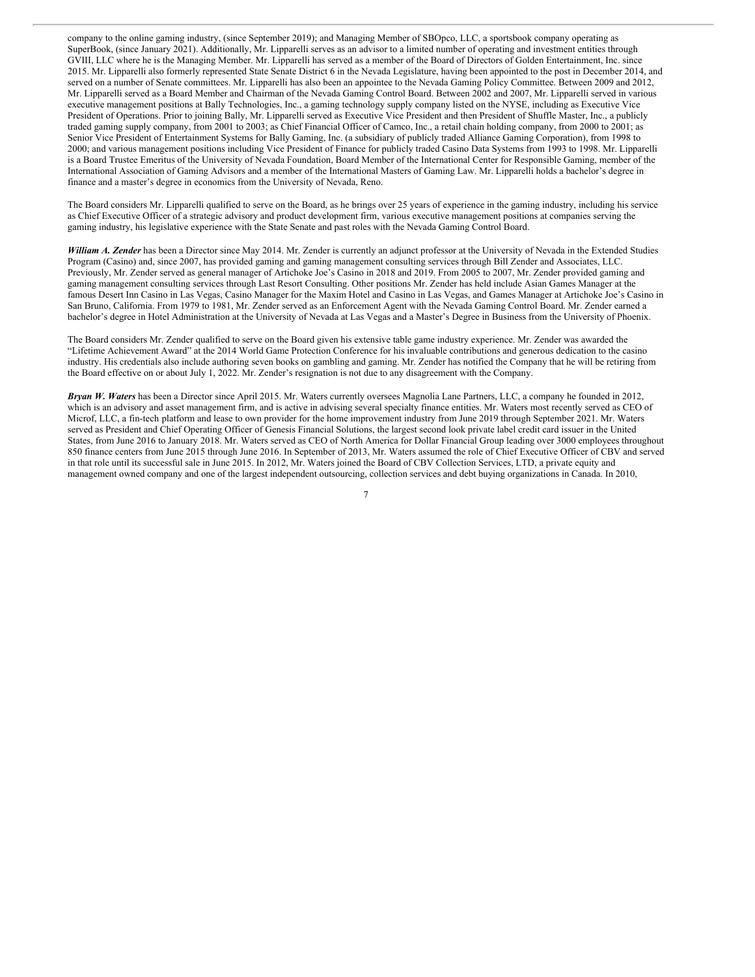company to the online gaming industry, (since September 2019); and Managing Member of SBOpco, LLC, a sportsbook company operating as SuperBook, (since January 2021). Additionally, Mr. Lipparelli serves as an advisor to a limited number of operating and investment entities through GVIII, LLC where he is the Managing Member. Mr. Lipparelli has served as a member of the Board of Directors of Golden Entertainment, Inc. since 2015. Mr. Lipparelli also formerly represented State Senate District 6 in the Nevada Legislature, having been appointed to the post in December 2014, and served on a number of Senate committees. Mr. Lipparelli has also been an appointee to the Nevada Gaming Policy Committee. Between 2009 and 2012, Mr. Lipparelli served as a Board Member and Chairman of the Nevada Gaming Control Board. Between 2002 and 2007, Mr. Lipparelli served in various executive management positions at Bally Technologies, Inc., a gaming technology supply company listed on the NYSE, including as Executive Vice President of Operations. Prior to joining Bally, Mr. Lipparelli served as Executive Vice President and then President of Shuffle Master, Inc., a publicly traded gaming supply company, from 2001 to 2003; as Chief Financial Officer of Camco, Inc., a retail chain holding company, from 2000 to 2001; as Senior Vice President of Entertainment Systems for Bally Gaming, Inc. (a subsidiary of publicly traded Alliance Gaming Corporation), from 1998 to 2000; and various management positions including Vice President of Finance for publicly traded Casino Data Systems from 1993 to 1998. Mr. Lipparelli is a Board Trustee Emeritus of the University of Nevada Foundation, Board Member of the International Center for Responsible Gaming, member of the International Association of Gaming Advisors and a member of the International Masters of Gaming Law. Mr. Lipparelli holds a bachelor's degree in finance and a master's degree in economics from the University of Nevada, Reno.

The Board considers Mr. Lipparelli qualified to serve on the Board, as he brings over 25 years of experience in the gaming industry, including his service as Chief Executive Officer of a strategic advisory and product development firm, various executive management positions at companies serving the gaming industry, his legislative experience with the State Senate and past roles with the Nevada Gaming Control Board.

*William A. Zender* has been a Director since May 2014. Mr. Zender is currently an adjunct professor at the University of Nevada in the Extended Studies Program (Casino) and, since 2007, has provided gaming and gaming management consulting services through Bill Zender and Associates, LLC. Previously, Mr. Zender served as general manager of Artichoke Joe's Casino in 2018 and 2019. From 2005 to 2007, Mr. Zender provided gaming and gaming management consulting services through Last Resort Consulting. Other positions Mr. Zender has held include Asian Games Manager at the famous Desert Inn Casino in Las Vegas, Casino Manager for the Maxim Hotel and Casino in Las Vegas, and Games Manager at Artichoke Joe's Casino in San Bruno, California. From 1979 to 1981, Mr. Zender served as an Enforcement Agent with the Nevada Gaming Control Board. Mr. Zender earned a bachelor's degree in Hotel Administration at the University of Nevada at Las Vegas and a Master's Degree in Business from the University of Phoenix.

The Board considers Mr. Zender qualified to serve on the Board given his extensive table game industry experience. Mr. Zender was awarded the "Lifetime Achievement Award" at the 2014 World Game Protection Conference for his invaluable contributions and generous dedication to the casino industry. His credentials also include authoring seven books on gambling and gaming. Mr. Zender has notified the Company that he will be retiring from the Board effective on or about July 1, 2022. Mr. Zender's resignation is not due to any disagreement with the Company.

*Bryan W. Waters* has been a Director since April 2015. Mr. Waters currently oversees Magnolia Lane Partners, LLC, a company he founded in 2012, which is an advisory and asset management firm, and is active in advising several specialty finance entities. Mr. Waters most recently served as CEO of Microf, LLC, a fin-tech platform and lease to own provider for the home improvement industry from June 2019 through September 2021. Mr. Waters served as President and Chief Operating Officer of Genesis Financial Solutions, the largest second look private label credit card issuer in the United States, from June 2016 to January 2018. Mr. Waters served as CEO of North America for Dollar Financial Group leading over 3000 employees throughout 850 finance centers from June 2015 through June 2016. In September of 2013, Mr. Waters assumed the role of Chief Executive Officer of CBV and served in that role until its successful sale in June 2015. In 2012, Mr. Waters joined the Board of CBV Collection Services, LTD, a private equity and management owned company and one of the largest independent outsourcing, collection services and debt buying organizations in Canada. In 2010,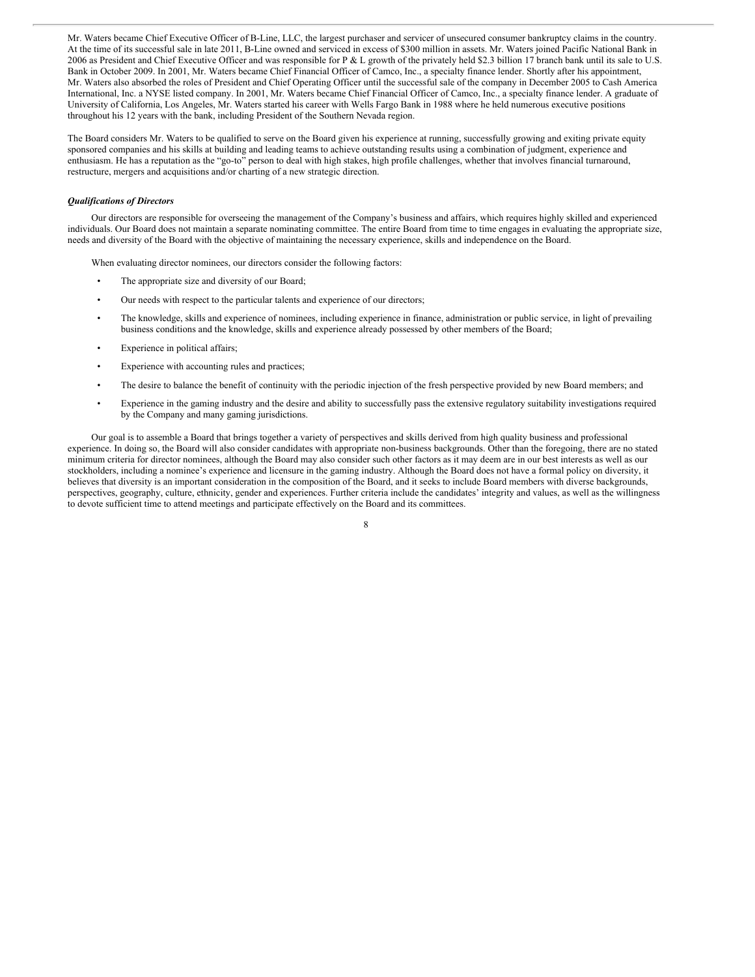Mr. Waters became Chief Executive Officer of B-Line, LLC, the largest purchaser and servicer of unsecured consumer bankruptcy claims in the country. At the time of its successful sale in late 2011, B-Line owned and serviced in excess of \$300 million in assets. Mr. Waters joined Pacific National Bank in 2006 as President and Chief Executive Officer and was responsible for P & L growth of the privately held \$2.3 billion 17 branch bank until its sale to U.S. Bank in October 2009. In 2001, Mr. Waters became Chief Financial Officer of Camco, Inc., a specialty finance lender. Shortly after his appointment, Mr. Waters also absorbed the roles of President and Chief Operating Officer until the successful sale of the company in December 2005 to Cash America International, Inc. a NYSE listed company. In 2001, Mr. Waters became Chief Financial Officer of Camco, Inc., a specialty finance lender. A graduate of University of California, Los Angeles, Mr. Waters started his career with Wells Fargo Bank in 1988 where he held numerous executive positions throughout his 12 years with the bank, including President of the Southern Nevada region.

The Board considers Mr. Waters to be qualified to serve on the Board given his experience at running, successfully growing and exiting private equity sponsored companies and his skills at building and leading teams to achieve outstanding results using a combination of judgment, experience and enthusiasm. He has a reputation as the "go-to" person to deal with high stakes, high profile challenges, whether that involves financial turnaround, restructure, mergers and acquisitions and/or charting of a new strategic direction.

#### *Qualifications of Directors*

Our directors are responsible for overseeing the management of the Company's business and affairs, which requires highly skilled and experienced individuals. Our Board does not maintain a separate nominating committee. The entire Board from time to time engages in evaluating the appropriate size, needs and diversity of the Board with the objective of maintaining the necessary experience, skills and independence on the Board.

When evaluating director nominees, our directors consider the following factors:

- The appropriate size and diversity of our Board;
- Our needs with respect to the particular talents and experience of our directors;
- The knowledge, skills and experience of nominees, including experience in finance, administration or public service, in light of prevailing business conditions and the knowledge, skills and experience already possessed by other members of the Board;
- Experience in political affairs;
- Experience with accounting rules and practices;
- The desire to balance the benefit of continuity with the periodic injection of the fresh perspective provided by new Board members; and
- Experience in the gaming industry and the desire and ability to successfully pass the extensive regulatory suitability investigations required by the Company and many gaming jurisdictions.

Our goal is to assemble a Board that brings together a variety of perspectives and skills derived from high quality business and professional experience. In doing so, the Board will also consider candidates with appropriate non-business backgrounds. Other than the foregoing, there are no stated minimum criteria for director nominees, although the Board may also consider such other factors as it may deem are in our best interests as well as our stockholders, including a nominee's experience and licensure in the gaming industry. Although the Board does not have a formal policy on diversity, it believes that diversity is an important consideration in the composition of the Board, and it seeks to include Board members with diverse backgrounds, perspectives, geography, culture, ethnicity, gender and experiences. Further criteria include the candidates' integrity and values, as well as the willingness to devote sufficient time to attend meetings and participate effectively on the Board and its committees.

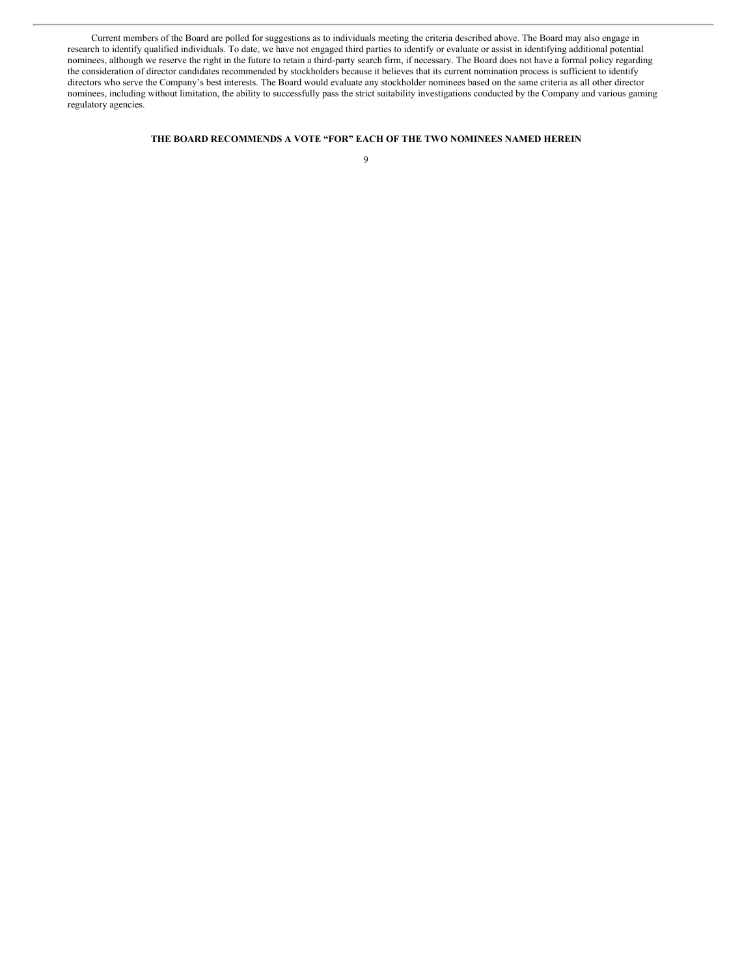Current members of the Board are polled for suggestions as to individuals meeting the criteria described above. The Board may also engage in research to identify qualified individuals. To date, we have not engaged third parties to identify or evaluate or assist in identifying additional potential nominees, although we reserve the right in the future to retain a third-party search firm, if necessary. The Board does not have a formal policy regarding the consideration of director candidates recommended by stockholders because it believes that its current nomination process is sufficient to identify directors who serve the Company's best interests. The Board would evaluate any stockholder nominees based on the same criteria as all other director nominees, including without limitation, the ability to successfully pass the strict suitability investigations conducted by the Company and various gaming regulatory agencies.

#### **THE BOARD RECOMMENDS A VOTE "FOR" EACH OF THE TWO NOMINEES NAMED HEREIN**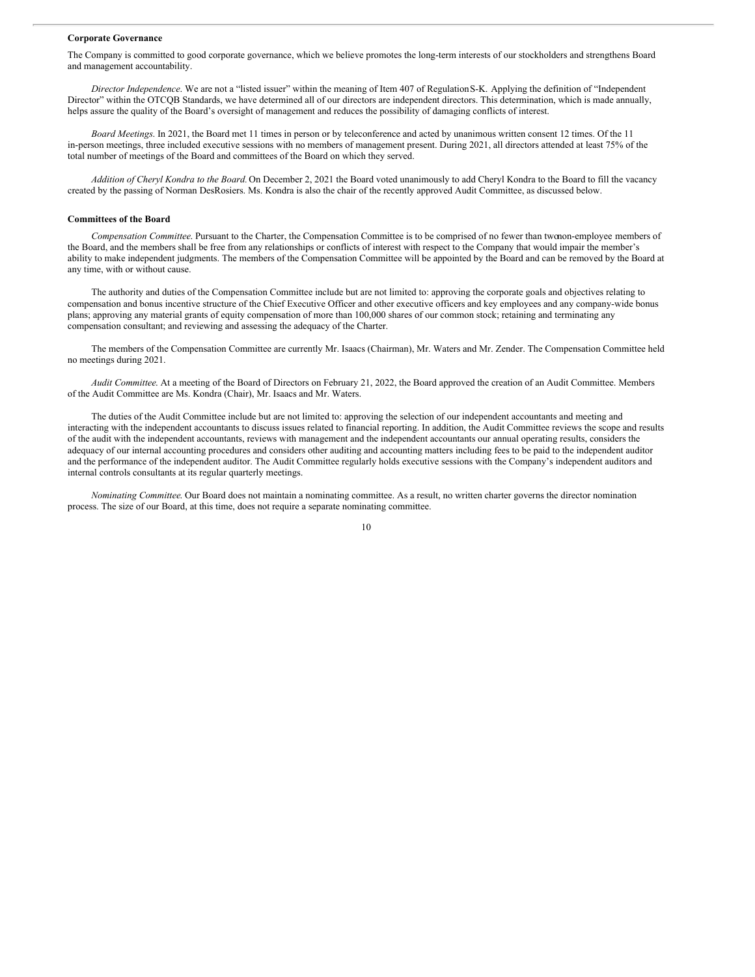#### **Corporate Governance**

The Company is committed to good corporate governance, which we believe promotes the long-term interests of our stockholders and strengthens Board and management accountability.

*Director Independence*. We are not a "listed issuer" within the meaning of Item 407 of RegulationS-K. Applying the definition of "Independent Director" within the OTCQB Standards, we have determined all of our directors are independent directors. This determination, which is made annually, helps assure the quality of the Board's oversight of management and reduces the possibility of damaging conflicts of interest.

*Board Meetings*. In 2021, the Board met 11 times in person or by teleconference and acted by unanimous written consent 12 times. Of the 11 in-person meetings, three included executive sessions with no members of management present. During 2021, all directors attended at least 75% of the total number of meetings of the Board and committees of the Board on which they served.

*Addition of Cheryl Kondra to the Board.* On December 2, 2021 the Board voted unanimously to add Cheryl Kondra to the Board to fill the vacancy created by the passing of Norman DesRosiers. Ms. Kondra is also the chair of the recently approved Audit Committee, as discussed below.

#### **Committees of the Board**

*Compensation Committee*. Pursuant to the Charter, the Compensation Committee is to be comprised of no fewer than twonon-employee members of the Board, and the members shall be free from any relationships or conflicts of interest with respect to the Company that would impair the member's ability to make independent judgments. The members of the Compensation Committee will be appointed by the Board and can be removed by the Board at any time, with or without cause.

The authority and duties of the Compensation Committee include but are not limited to: approving the corporate goals and objectives relating to compensation and bonus incentive structure of the Chief Executive Officer and other executive officers and key employees and any company-wide bonus plans; approving any material grants of equity compensation of more than 100,000 shares of our common stock; retaining and terminating any compensation consultant; and reviewing and assessing the adequacy of the Charter.

The members of the Compensation Committee are currently Mr. Isaacs (Chairman), Mr. Waters and Mr. Zender. The Compensation Committee held no meetings during 2021.

*Audit Committee*. At a meeting of the Board of Directors on February 21, 2022, the Board approved the creation of an Audit Committee. Members of the Audit Committee are Ms. Kondra (Chair), Mr. Isaacs and Mr. Waters.

The duties of the Audit Committee include but are not limited to: approving the selection of our independent accountants and meeting and interacting with the independent accountants to discuss issues related to financial reporting. In addition, the Audit Committee reviews the scope and results of the audit with the independent accountants, reviews with management and the independent accountants our annual operating results, considers the adequacy of our internal accounting procedures and considers other auditing and accounting matters including fees to be paid to the independent auditor and the performance of the independent auditor. The Audit Committee regularly holds executive sessions with the Company's independent auditors and internal controls consultants at its regular quarterly meetings.

*Nominating Committee*. Our Board does not maintain a nominating committee. As a result, no written charter governs the director nomination process. The size of our Board, at this time, does not require a separate nominating committee.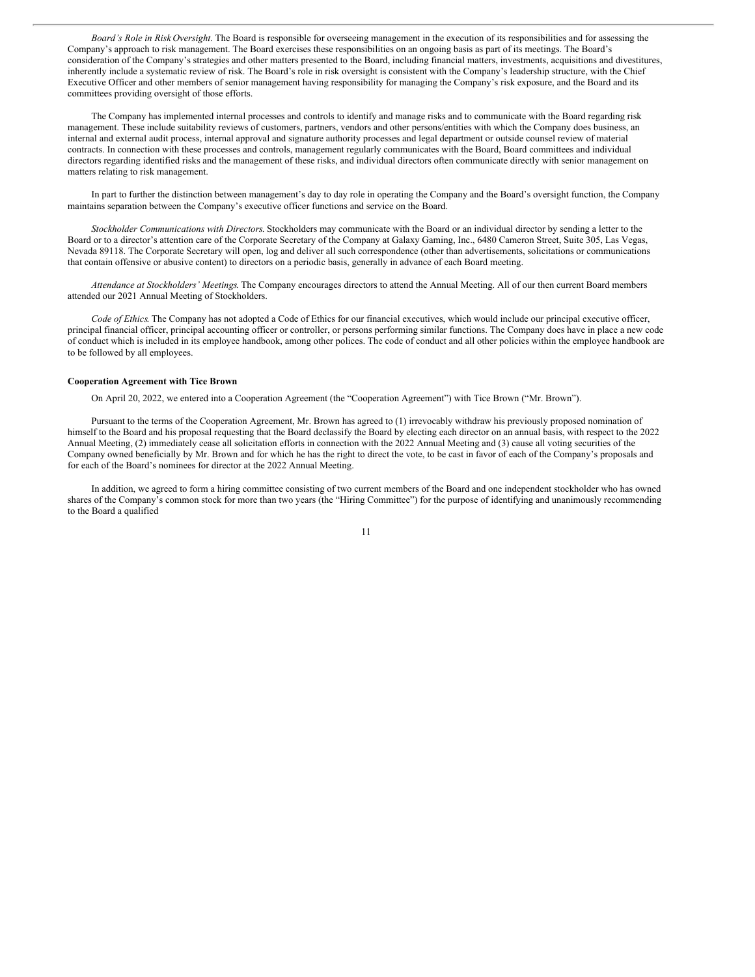*Board's Role in Risk Oversight*. The Board is responsible for overseeing management in the execution of its responsibilities and for assessing the Company's approach to risk management. The Board exercises these responsibilities on an ongoing basis as part of its meetings. The Board's consideration of the Company's strategies and other matters presented to the Board, including financial matters, investments, acquisitions and divestitures, inherently include a systematic review of risk. The Board's role in risk oversight is consistent with the Company's leadership structure, with the Chief Executive Officer and other members of senior management having responsibility for managing the Company's risk exposure, and the Board and its committees providing oversight of those efforts.

The Company has implemented internal processes and controls to identify and manage risks and to communicate with the Board regarding risk management. These include suitability reviews of customers, partners, vendors and other persons/entities with which the Company does business, an internal and external audit process, internal approval and signature authority processes and legal department or outside counsel review of material contracts. In connection with these processes and controls, management regularly communicates with the Board, Board committees and individual directors regarding identified risks and the management of these risks, and individual directors often communicate directly with senior management on matters relating to risk management.

In part to further the distinction between management's day to day role in operating the Company and the Board's oversight function, the Company maintains separation between the Company's executive officer functions and service on the Board.

*Stockholder Communications with Directors*. Stockholders may communicate with the Board or an individual director by sending a letter to the Board or to a director's attention care of the Corporate Secretary of the Company at Galaxy Gaming, Inc., 6480 Cameron Street, Suite 305, Las Vegas, Nevada 89118. The Corporate Secretary will open, log and deliver all such correspondence (other than advertisements, solicitations or communications that contain offensive or abusive content) to directors on a periodic basis, generally in advance of each Board meeting.

*Attendance at Stockholders' Meetings*. The Company encourages directors to attend the Annual Meeting. All of our then current Board members attended our 2021 Annual Meeting of Stockholders.

*Code of Ethics*. The Company has not adopted a Code of Ethics for our financial executives, which would include our principal executive officer, principal financial officer, principal accounting officer or controller, or persons performing similar functions. The Company does have in place a new code of conduct which is included in its employee handbook, among other polices. The code of conduct and all other policies within the employee handbook are to be followed by all employees.

#### **Cooperation Agreement with Tice Brown**

On April 20, 2022, we entered into a Cooperation Agreement (the "Cooperation Agreement") with Tice Brown ("Mr. Brown").

Pursuant to the terms of the Cooperation Agreement, Mr. Brown has agreed to (1) irrevocably withdraw his previously proposed nomination of himself to the Board and his proposal requesting that the Board declassify the Board by electing each director on an annual basis, with respect to the 2022 Annual Meeting, (2) immediately cease all solicitation efforts in connection with the 2022 Annual Meeting and (3) cause all voting securities of the Company owned beneficially by Mr. Brown and for which he has the right to direct the vote, to be cast in favor of each of the Company's proposals and for each of the Board's nominees for director at the 2022 Annual Meeting.

In addition, we agreed to form a hiring committee consisting of two current members of the Board and one independent stockholder who has owned shares of the Company's common stock for more than two years (the "Hiring Committee") for the purpose of identifying and unanimously recommending to the Board a qualified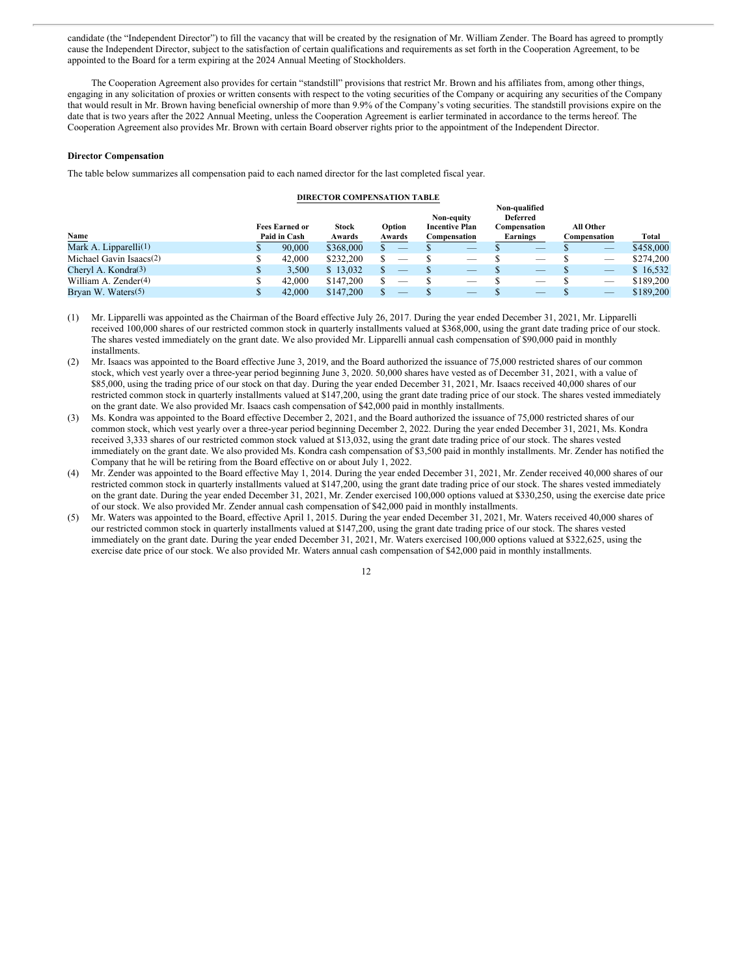candidate (the "Independent Director") to fill the vacancy that will be created by the resignation of Mr. William Zender. The Board has agreed to promptly cause the Independent Director, subject to the satisfaction of certain qualifications and requirements as set forth in the Cooperation Agreement, to be appointed to the Board for a term expiring at the 2024 Annual Meeting of Stockholders.

The Cooperation Agreement also provides for certain "standstill" provisions that restrict Mr. Brown and his affiliates from, among other things, engaging in any solicitation of proxies or written consents with respect to the voting securities of the Company or acquiring any securities of the Company that would result in Mr. Brown having beneficial ownership of more than 9.9% of the Company's voting securities. The standstill provisions expire on the date that is two years after the 2022 Annual Meeting, unless the Cooperation Agreement is earlier terminated in accordance to the terms hereof. The Cooperation Agreement also provides Mr. Brown with certain Board observer rights prior to the appointment of the Independent Director.

#### **Director Compensation**

The table below summarizes all compensation paid to each named director for the last completed fiscal year.

#### **DIRECTOR COMPENSATION TABLE**

|                                  | Non-qualified |                       |              |  |                          |  |                          |  |                          |                          |           |
|----------------------------------|---------------|-----------------------|--------------|--|--------------------------|--|--------------------------|--|--------------------------|--------------------------|-----------|
|                                  |               |                       |              |  |                          |  | Non-equity               |  | Deferred                 |                          |           |
|                                  |               | <b>Fees Earned or</b> | <b>Stock</b> |  | Option                   |  | <b>Incentive Plan</b>    |  | Compensation             | All Other                |           |
| Name                             |               | Paid in Cash          | Awards       |  | Awards                   |  | Compensation             |  | Earnings                 | Compensation             | Total     |
| Mark A. Lipparelli $(1)$         |               | 90,000                | \$368,000    |  | $\overline{\phantom{m}}$ |  | $\overline{\phantom{a}}$ |  |                          |                          | \$458,000 |
| Michael Gavin Isaacs(2)          |               | 42,000                | \$232,200    |  | _                        |  |                          |  | _                        |                          | \$274,200 |
| Cheryl A. Kondra <sup>(3)</sup>  |               | 3.500                 | \$13,032     |  | _                        |  | $\overline{\phantom{a}}$ |  | $\overline{\phantom{a}}$ | $\overline{\phantom{a}}$ | \$16,532  |
| William A. Zender <sup>(4)</sup> |               | 42,000                | \$147,200    |  | _                        |  | $\overline{\phantom{a}}$ |  | _                        |                          | \$189,200 |
| Bryan W. Waters(5)               |               | 42,000                | \$147,200    |  |                          |  | _                        |  | $-$                      | $\overline{\phantom{a}}$ | \$189,200 |

(1) Mr. Lipparelli was appointed as the Chairman of the Board effective July 26, 2017. During the year ended December 31, 2021, Mr. Lipparelli received 100,000 shares of our restricted common stock in quarterly installments valued at \$368,000, using the grant date trading price of our stock. The shares vested immediately on the grant date. We also provided Mr. Lipparelli annual cash compensation of \$90,000 paid in monthly installments.

(2) Mr. Isaacs was appointed to the Board effective June 3, 2019, and the Board authorized the issuance of 75,000 restricted shares of our common stock, which vest yearly over a three-year period beginning June 3, 2020. 50,000 shares have vested as of December 31, 2021, with a value of \$85,000, using the trading price of our stock on that day. During the year ended December 31, 2021, Mr. Isaacs received 40,000 shares of our restricted common stock in quarterly installments valued at \$147,200, using the grant date trading price of our stock. The shares vested immediately on the grant date. We also provided Mr. Isaacs cash compensation of \$42,000 paid in monthly installments.

- (3) Ms. Kondra was appointed to the Board effective December 2, 2021, and the Board authorized the issuance of 75,000 restricted shares of our common stock, which vest yearly over a three-year period beginning December 2, 2022. During the year ended December 31, 2021, Ms. Kondra received 3,333 shares of our restricted common stock valued at \$13,032, using the grant date trading price of our stock. The shares vested immediately on the grant date. We also provided Ms. Kondra cash compensation of \$3,500 paid in monthly installments. Mr. Zender has notified the Company that he will be retiring from the Board effective on or about July 1, 2022.
- (4) Mr. Zender was appointed to the Board effective May 1, 2014. During the year ended December 31, 2021, Mr. Zender received 40,000 shares of our restricted common stock in quarterly installments valued at \$147,200, using the grant date trading price of our stock. The shares vested immediately on the grant date. During the year ended December 31, 2021, Mr. Zender exercised 100,000 options valued at \$330,250, using the exercise date price of our stock. We also provided Mr. Zender annual cash compensation of \$42,000 paid in monthly installments.
- (5) Mr. Waters was appointed to the Board, effective April 1, 2015. During the year ended December 31, 2021, Mr. Waters received 40,000 shares of our restricted common stock in quarterly installments valued at \$147,200, using the grant date trading price of our stock. The shares vested immediately on the grant date. During the year ended December 31, 2021, Mr. Waters exercised 100,000 options valued at \$322,625, using the exercise date price of our stock. We also provided Mr. Waters annual cash compensation of \$42,000 paid in monthly installments.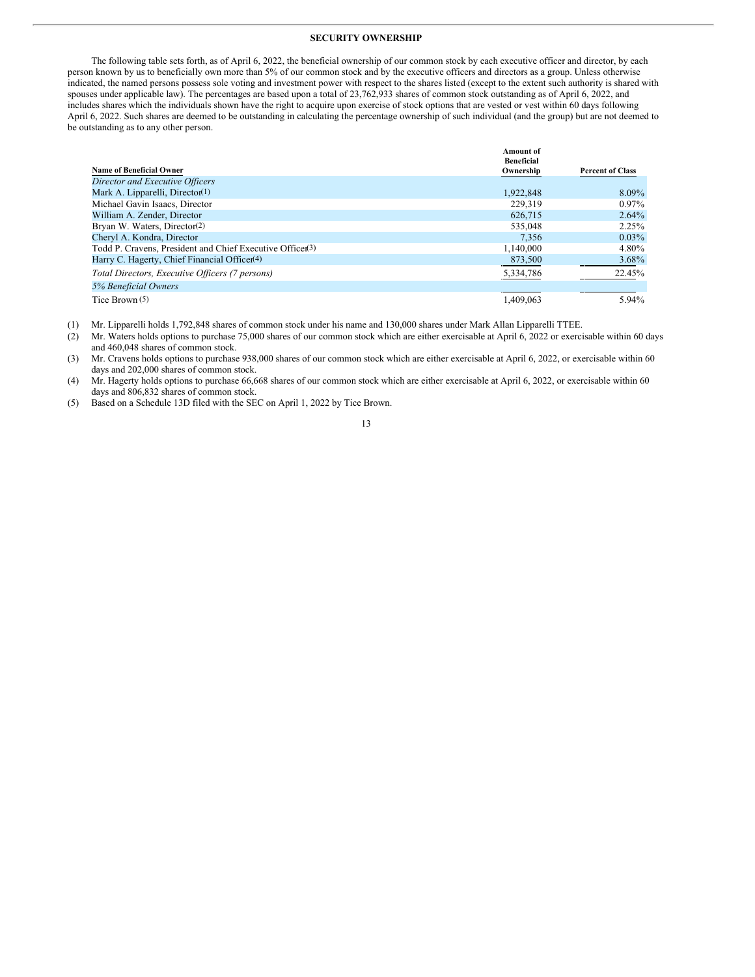#### **SECURITY OWNERSHIP**

The following table sets forth, as of April 6, 2022, the beneficial ownership of our common stock by each executive officer and director, by each person known by us to beneficially own more than 5% of our common stock and by the executive officers and directors as a group. Unless otherwise indicated, the named persons possess sole voting and investment power with respect to the shares listed (except to the extent such authority is shared with spouses under applicable law). The percentages are based upon a total of 23,762,933 shares of common stock outstanding as of April 6, 2022, and includes shares which the individuals shown have the right to acquire upon exercise of stock options that are vested or vest within 60 days following April 6, 2022. Such shares are deemed to be outstanding in calculating the percentage ownership of such individual (and the group) but are not deemed to be outstanding as to any other person.

|                                                           | <b>Amount of</b><br><b>Beneficial</b> |                         |
|-----------------------------------------------------------|---------------------------------------|-------------------------|
| <b>Name of Beneficial Owner</b>                           | Ownership                             | <b>Percent of Class</b> |
| Director and Executive Officers                           |                                       |                         |
| Mark A. Lipparelli, Director(1)                           | 1,922,848                             | 8.09%                   |
| Michael Gavin Isaacs, Director                            | 229.319                               | $0.97\%$                |
| William A. Zender, Director                               | 626,715                               | $2.64\%$                |
| Bryan W. Waters, Director(2)                              | 535,048                               | 2.25%                   |
| Cheryl A. Kondra, Director                                | 7.356                                 | $0.03\%$                |
| Todd P. Cravens, President and Chief Executive Officer(3) | 1,140,000                             | 4.80%                   |
| Harry C. Hagerty, Chief Financial Officer <sup>(4)</sup>  | 873,500                               | 3.68%                   |
| Total Directors, Executive Officers (7 persons)           | 5,334,786                             | 22.45%                  |
| 5% Beneficial Owners                                      |                                       |                         |
| Tice Brown (5)                                            | 1.409.063                             | 5.94%                   |

(1) Mr. Lipparelli holds 1,792,848 shares of common stock under his name and 130,000 shares under Mark Allan Lipparelli TTEE.

(2) Mr. Waters holds options to purchase 75,000 shares of our common stock which are either exercisable at April 6, 2022 or exercisable within 60 days and 460,048 shares of common stock.

(3) Mr. Cravens holds options to purchase 938,000 shares of our common stock which are either exercisable at April 6, 2022, or exercisable within 60 days and 202,000 shares of common stock.

(4) Mr. Hagerty holds options to purchase 66,668 shares of our common stock which are either exercisable at April 6, 2022, or exercisable within 60 days and 806,832 shares of common stock.

(5) Based on a Schedule 13D filed with the SEC on April 1, 2022 by Tice Brown.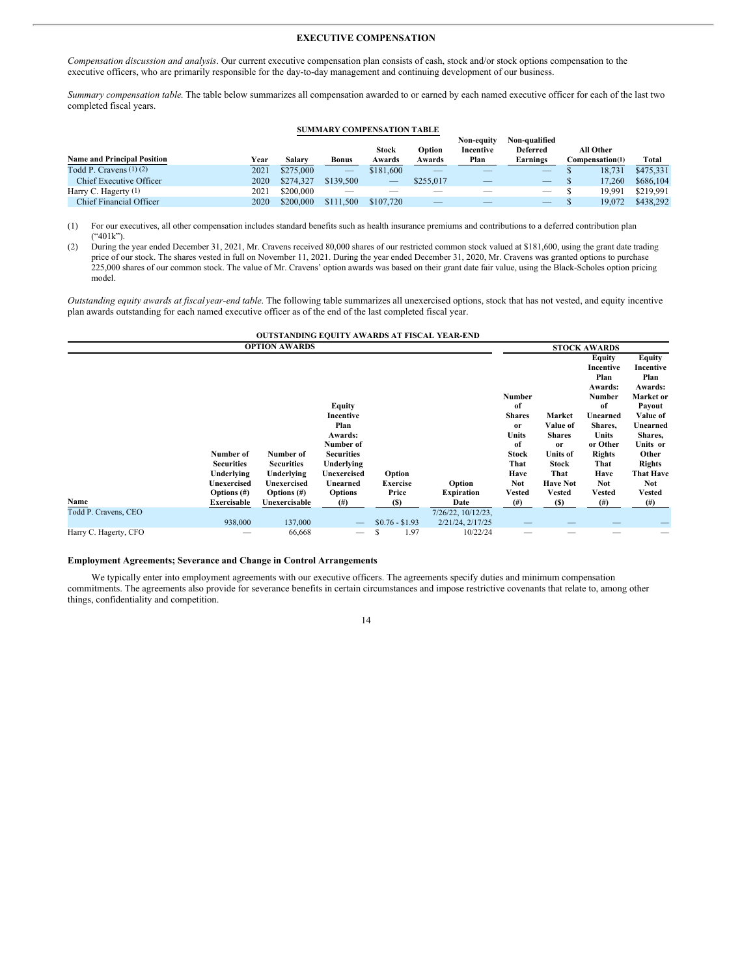#### **EXECUTIVE COMPENSATION**

*Compensation discussion and analysis*. Our current executive compensation plan consists of cash, stock and/or stock options compensation to the executive officers, who are primarily responsible for the day-to-day management and continuing development of our business.

*Summary compensation table*. The table below summarizes all compensation awarded to or earned by each named executive officer for each of the last two completed fiscal years.

#### **SUMMARY COMPENSATION TABLE**

| <b>Name and Principal Position</b> | Year | Salary    | Bonus           | <b>Stock</b><br>Awards | Option<br>Awards | Non-eauitv<br>Incentive<br>Plan | Non-qualified<br><b>Deferred</b><br>Earnings | All Other<br>Compensation(1) | Total     |
|------------------------------------|------|-----------|-----------------|------------------------|------------------|---------------------------------|----------------------------------------------|------------------------------|-----------|
| Todd P. Cravens $(1)(2)$           | 2021 | \$275,000 | $\qquad \qquad$ | \$181,600              |                  |                                 | $\overline{\phantom{0}}$                     | 18.731                       | \$475.331 |
| Chief Executive Officer            | 2020 | \$274.327 | \$139,500       | $\hspace{0.05cm}$      | \$255,017        |                                 | $\overline{\phantom{0}}$                     | 17.260                       | \$686,104 |
| Harry C. Hagerty (1)               | 2021 | \$200,000 |                 |                        |                  |                                 |                                              | 19.991                       | \$219,991 |
| Chief Financial Officer            | 2020 | \$200,000 | \$111.500       | \$107,720              |                  |                                 | $-$                                          | 19.072                       | \$438,292 |

(1) For our executives, all other compensation includes standard benefits such as health insurance premiums and contributions to a deferred contribution plan ("401k").

(2) During the year ended December 31, 2021, Mr. Cravens received 80,000 shares of our restricted common stock valued at \$181,600, using the grant date trading price of our stock. The shares vested in full on November 11, 2021. During the year ended December 31, 2020, Mr. Cravens was granted options to purchase 225,000 shares of our common stock. The value of Mr. Cravens' option awards was based on their grant date fair value, using the Black-Scholes option pricing model.

*Outstanding equity awards at fiscal year-end table*. The following table summarizes all unexercised options, stock that has not vested, and equity incentive plan awards outstanding for each named executive officer as of the end of the last completed fiscal year.

|                       |                           | <b>OUTSTANDING EQUITY AWARDS AT FISCAL YEAR-END</b> |                                |                    |                                        |                        |                           |                                        |                                        |
|-----------------------|---------------------------|-----------------------------------------------------|--------------------------------|--------------------|----------------------------------------|------------------------|---------------------------|----------------------------------------|----------------------------------------|
|                       |                           |                                                     | <b>STOCK AWARDS</b>            |                    |                                        |                        |                           |                                        |                                        |
|                       |                           |                                                     |                                |                    |                                        |                        |                           | Equity<br>Incentive<br>Plan<br>Awards: | Equity<br>Incentive<br>Plan<br>Awards: |
|                       |                           |                                                     | <b>Equity</b>                  |                    |                                        | <b>Number</b><br>of    |                           | Number<br>of                           | Market or<br>Payout                    |
|                       |                           |                                                     | Incentive                      |                    |                                        | <b>Shares</b>          | Market                    | Unearned                               | Value of                               |
|                       |                           |                                                     | Plan<br>Awards:                |                    |                                        | <sub>or</sub><br>Units | Value of<br><b>Shares</b> | Shares,<br>Units                       | Unearned<br>Shares,                    |
|                       | Number of                 | Number of                                           | Number of<br><b>Securities</b> |                    |                                        | of<br>Stock            | or<br><b>Units of</b>     | or Other<br><b>Rights</b>              | Units or<br>Other                      |
|                       | <b>Securities</b>         | <b>Securities</b>                                   | Underlying                     |                    |                                        | That                   | Stock                     | That                                   | <b>Rights</b>                          |
|                       | Underlying<br>Unexercised | Underlying<br>Unexercised                           | Unexercised<br>Unearned        | Option<br>Exercise | Option                                 | Have<br><b>Not</b>     | That<br><b>Have Not</b>   | Have<br><b>Not</b>                     | <b>That Have</b><br>Not                |
|                       | Options $(\#)$            | Options $(\#)$                                      | <b>Options</b>                 | Price              | <b>Expiration</b>                      | Vested                 | <b>Vested</b>             | Vested                                 | Vested                                 |
| Name                  | Exercisable               | Unexercisable                                       | $^{(#)}$                       | (S)                | Date                                   | $^{(#)}$               | (S)                       | $^{(#)}$                               | $^{(#)}$                               |
| Todd P. Cravens, CEO  | 938,000                   | 137,000                                             |                                | $$0.76 - $1.93$    | 7/26/22, 10/12/23,<br>2/21/24, 2/17/25 |                        |                           |                                        |                                        |
| Harry C. Hagerty, CFO |                           | 66,668                                              |                                | 1.97<br>S          | 10/22/24                               |                        |                           |                                        |                                        |

**Employment Agreements; Severance and Change in Control Arrangements**

We typically enter into employment agreements with our executive officers. The agreements specify duties and minimum compensation commitments. The agreements also provide for severance benefits in certain circumstances and impose restrictive covenants that relate to, among other things, confidentiality and competition.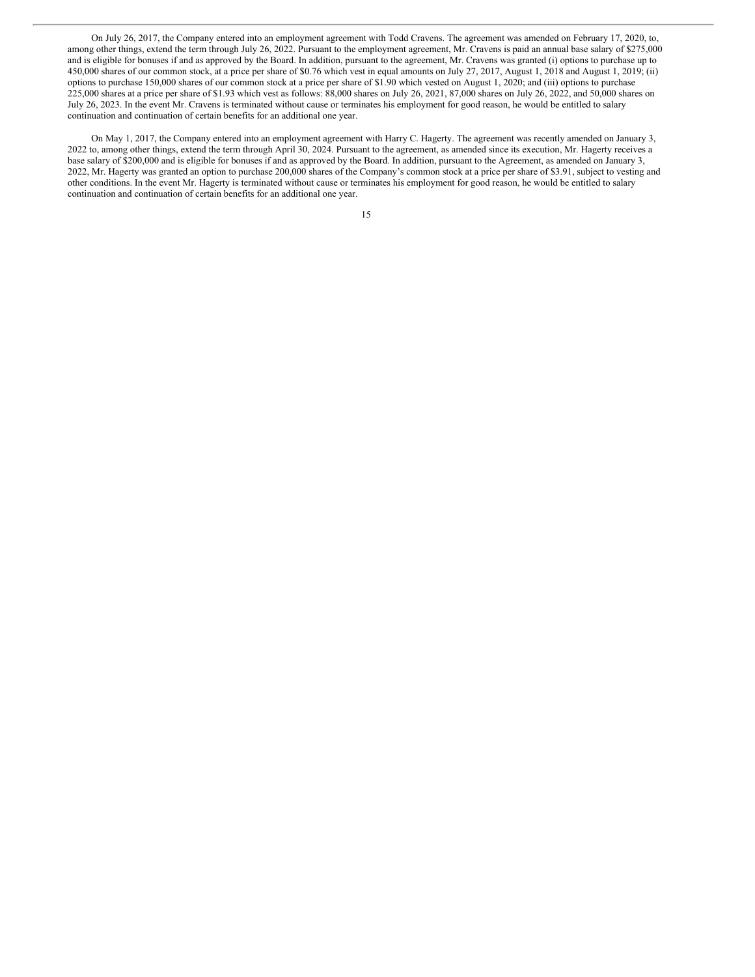On July 26, 2017, the Company entered into an employment agreement with Todd Cravens. The agreement was amended on February 17, 2020, to, among other things, extend the term through July 26, 2022. Pursuant to the employment agreement, Mr. Cravens is paid an annual base salary of \$275,000 and is eligible for bonuses if and as approved by the Board. In addition, pursuant to the agreement, Mr. Cravens was granted (i) options to purchase up to 450,000 shares of our common stock, at a price per share of \$0.76 which vest in equal amounts on July 27, 2017, August 1, 2018 and August 1, 2019; (ii) options to purchase 150,000 shares of our common stock at a price per share of \$1.90 which vested on August 1, 2020; and (iii) options to purchase 225,000 shares at a price per share of \$1.93 which vest as follows: 88,000 shares on July 26, 2021, 87,000 shares on July 26, 2022, and 50,000 shares on July 26, 2023. In the event Mr. Cravens is terminated without cause or terminates his employment for good reason, he would be entitled to salary continuation and continuation of certain benefits for an additional one year.

On May 1, 2017, the Company entered into an employment agreement with Harry C. Hagerty. The agreement was recently amended on January 3, 2022 to, among other things, extend the term through April 30, 2024. Pursuant to the agreement, as amended since its execution, Mr. Hagerty receives a base salary of \$200,000 and is eligible for bonuses if and as approved by the Board. In addition, pursuant to the Agreement, as amended on January 3, 2022, Mr. Hagerty was granted an option to purchase 200,000 shares of the Company's common stock at a price per share of \$3.91, subject to vesting and other conditions. In the event Mr. Hagerty is terminated without cause or terminates his employment for good reason, he would be entitled to salary continuation and continuation of certain benefits for an additional one year.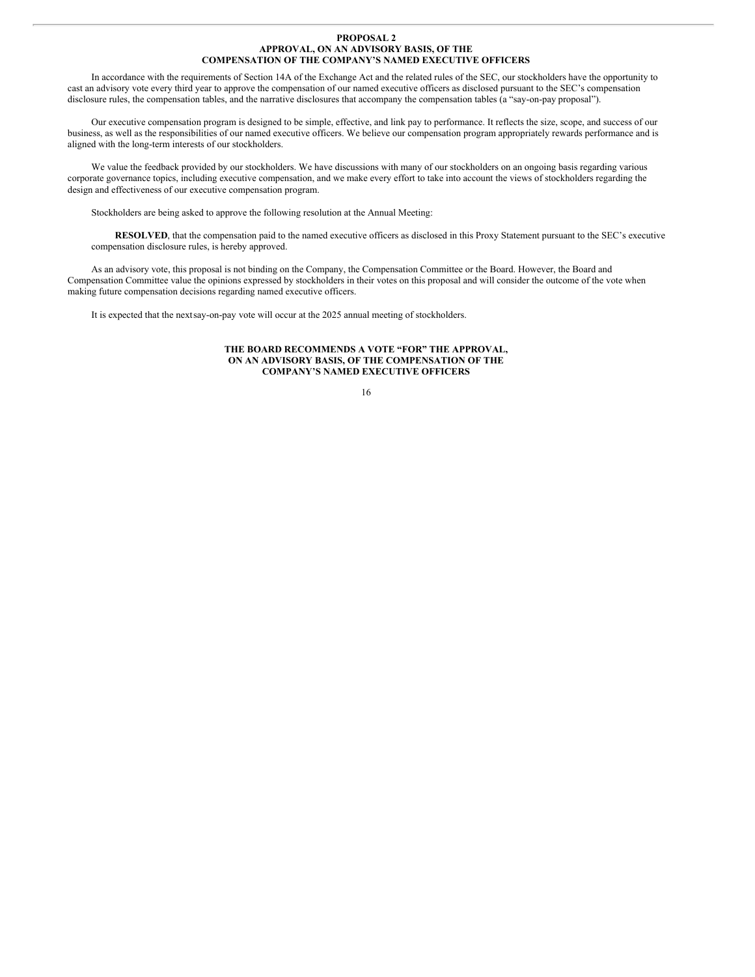#### **PROPOSAL 2 APPROVAL, ON AN ADVISORY BASIS, OF THE COMPENSATION OF THE COMPANY'S NAMED EXECUTIVE OFFICERS**

In accordance with the requirements of Section 14A of the Exchange Act and the related rules of the SEC, our stockholders have the opportunity to cast an advisory vote every third year to approve the compensation of our named executive officers as disclosed pursuant to the SEC's compensation disclosure rules, the compensation tables, and the narrative disclosures that accompany the compensation tables (a "say-on-pay proposal").

Our executive compensation program is designed to be simple, effective, and link pay to performance. It reflects the size, scope, and success of our business, as well as the responsibilities of our named executive officers. We believe our compensation program appropriately rewards performance and is aligned with the long-term interests of our stockholders.

We value the feedback provided by our stockholders. We have discussions with many of our stockholders on an ongoing basis regarding various corporate governance topics, including executive compensation, and we make every effort to take into account the views of stockholders regarding the design and effectiveness of our executive compensation program.

Stockholders are being asked to approve the following resolution at the Annual Meeting:

**RESOLVED**, that the compensation paid to the named executive officers as disclosed in this Proxy Statement pursuant to the SEC's executive compensation disclosure rules, is hereby approved.

As an advisory vote, this proposal is not binding on the Company, the Compensation Committee or the Board. However, the Board and Compensation Committee value the opinions expressed by stockholders in their votes on this proposal and will consider the outcome of the vote when making future compensation decisions regarding named executive officers.

It is expected that the nextsay-on-pay vote will occur at the 2025 annual meeting of stockholders.

### **THE BOARD RECOMMENDS A VOTE "FOR" THE APPROVAL, ON AN ADVISORY BASIS, OF THE COMPENSATION OF THE COMPANY'S NAMED EXECUTIVE OFFICERS**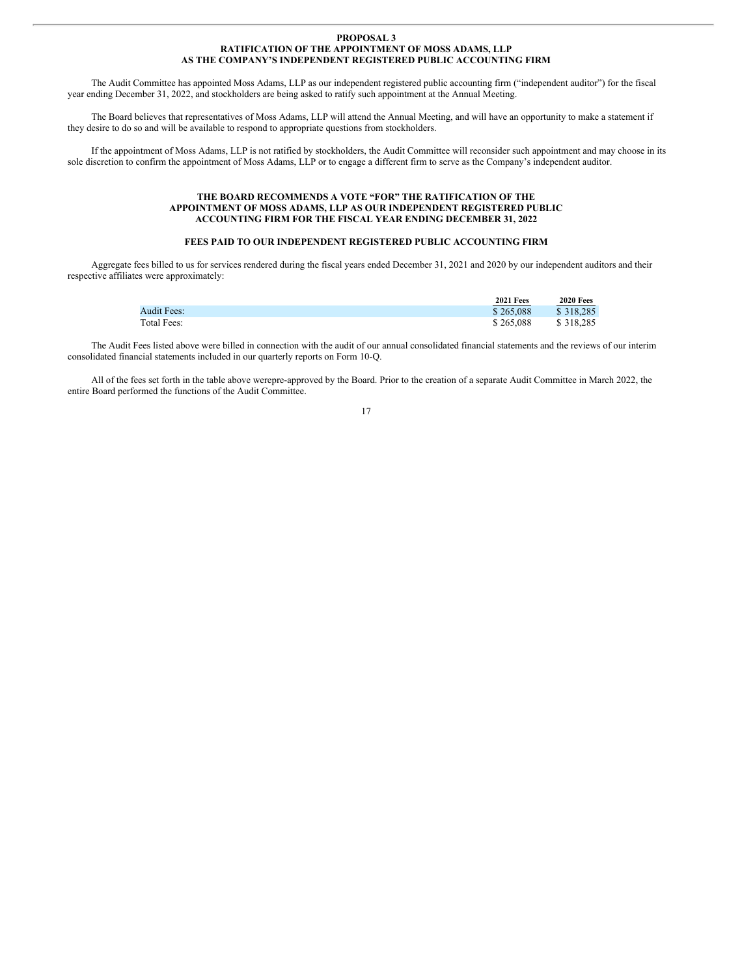#### **PROPOSAL 3 RATIFICATION OF THE APPOINTMENT OF MOSS ADAMS, LLP AS THE COMPANY'S INDEPENDENT REGISTERED PUBLIC ACCOUNTING FIRM**

The Audit Committee has appointed Moss Adams, LLP as our independent registered public accounting firm ("independent auditor") for the fiscal year ending December 31, 2022, and stockholders are being asked to ratify such appointment at the Annual Meeting.

The Board believes that representatives of Moss Adams, LLP will attend the Annual Meeting, and will have an opportunity to make a statement if they desire to do so and will be available to respond to appropriate questions from stockholders.

If the appointment of Moss Adams, LLP is not ratified by stockholders, the Audit Committee will reconsider such appointment and may choose in its sole discretion to confirm the appointment of Moss Adams, LLP or to engage a different firm to serve as the Company's independent auditor.

### **THE BOARD RECOMMENDS A VOTE "FOR" THE RATIFICATION OF THE APPOINTMENT OF MOSS ADAMS, LLP AS OUR INDEPENDENT REGISTERED PUBLIC ACCOUNTING FIRM FOR THE FISCAL YEAR ENDING DECEMBER 31, 2022**

## **FEES PAID TO OUR INDEPENDENT REGISTERED PUBLIC ACCOUNTING FIRM**

Aggregate fees billed to us for services rendered during the fiscal years ended December 31, 2021 and 2020 by our independent auditors and their respective affiliates were approximately:

|                    | <b>2021 Fees</b> | <b>2020 Fees</b> |
|--------------------|------------------|------------------|
| <b>Audit Fees:</b> | \$265,088        | \$318,285        |
| Total Fees:        | \$265,088        | \$318.285        |

The Audit Fees listed above were billed in connection with the audit of our annual consolidated financial statements and the reviews of our interim consolidated financial statements included in our quarterly reports on Form 10-Q.

All of the fees set forth in the table above werepre-approved by the Board. Prior to the creation of a separate Audit Committee in March 2022, the entire Board performed the functions of the Audit Committee.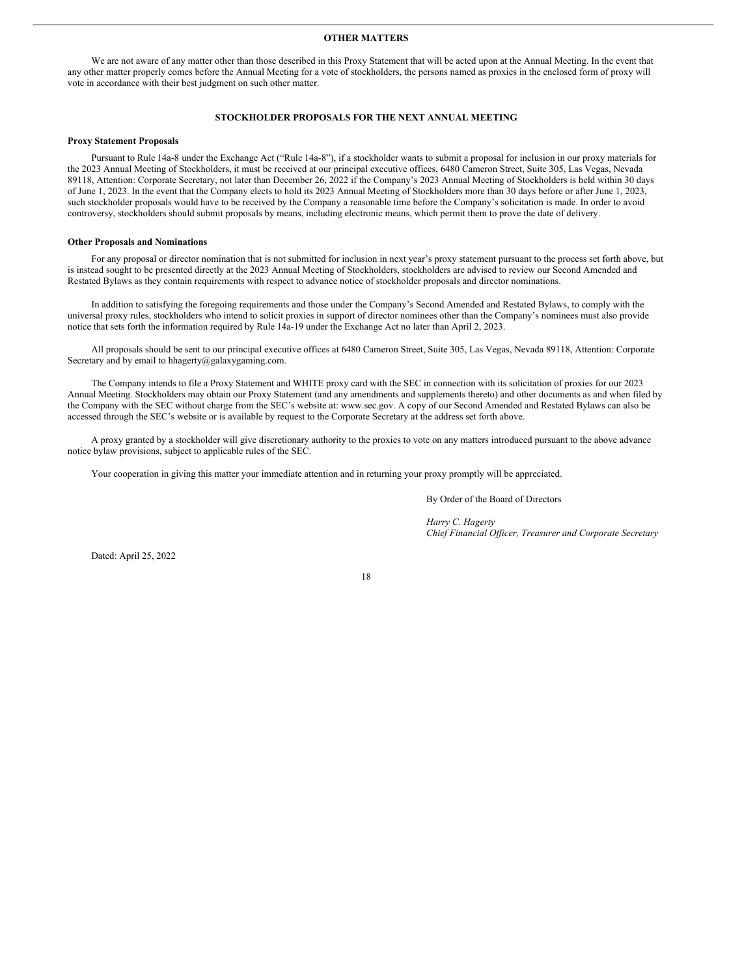#### **OTHER MATTERS**

We are not aware of any matter other than those described in this Proxy Statement that will be acted upon at the Annual Meeting. In the event that any other matter properly comes before the Annual Meeting for a vote of stockholders, the persons named as proxies in the enclosed form of proxy will vote in accordance with their best judgment on such other matter.

#### **STOCKHOLDER PROPOSALS FOR THE NEXT ANNUAL MEETING**

#### **Proxy Statement Proposals**

Pursuant to Rule 14a-8 under the Exchange Act ("Rule 14a-8"), if a stockholder wants to submit a proposal for inclusion in our proxy materials for the 2023 Annual Meeting of Stockholders, it must be received at our principal executive offices, 6480 Cameron Street, Suite 305, Las Vegas, Nevada 89118, Attention: Corporate Secretary, not later than December 26, 2022 if the Company's 2023 Annual Meeting of Stockholders is held within 30 days of June 1, 2023. In the event that the Company elects to hold its 2023 Annual Meeting of Stockholders more than 30 days before or after June 1, 2023, such stockholder proposals would have to be received by the Company a reasonable time before the Company's solicitation is made. In order to avoid controversy, stockholders should submit proposals by means, including electronic means, which permit them to prove the date of delivery.

#### **Other Proposals and Nominations**

For any proposal or director nomination that is not submitted for inclusion in next year's proxy statement pursuant to the process set forth above, but is instead sought to be presented directly at the 2023 Annual Meeting of Stockholders, stockholders are advised to review our Second Amended and Restated Bylaws as they contain requirements with respect to advance notice of stockholder proposals and director nominations.

In addition to satisfying the foregoing requirements and those under the Company's Second Amended and Restated Bylaws, to comply with the universal proxy rules, stockholders who intend to solicit proxies in support of director nominees other than the Company's nominees must also provide notice that sets forth the information required by Rule 14a-19 under the Exchange Act no later than April 2, 2023.

All proposals should be sent to our principal executive offices at 6480 Cameron Street, Suite 305, Las Vegas, Nevada 89118, Attention: Corporate Secretary and by email to hhagerty@galaxygaming.com.

The Company intends to file a Proxy Statement and WHITE proxy card with the SEC in connection with its solicitation of proxies for our 2023 Annual Meeting. Stockholders may obtain our Proxy Statement (and any amendments and supplements thereto) and other documents as and when filed by the Company with the SEC without charge from the SEC's website at: www.sec.gov. A copy of our Second Amended and Restated Bylaws can also be accessed through the SEC's website or is available by request to the Corporate Secretary at the address set forth above.

A proxy granted by a stockholder will give discretionary authority to the proxies to vote on any matters introduced pursuant to the above advance notice bylaw provisions, subject to applicable rules of the SEC.

Your cooperation in giving this matter your immediate attention and in returning your proxy promptly will be appreciated.

By Order of the Board of Directors

*Harry C. Hagerty Chief Financial Of icer, Treasurer and Corporate Secretary*

Dated: April 25, 2022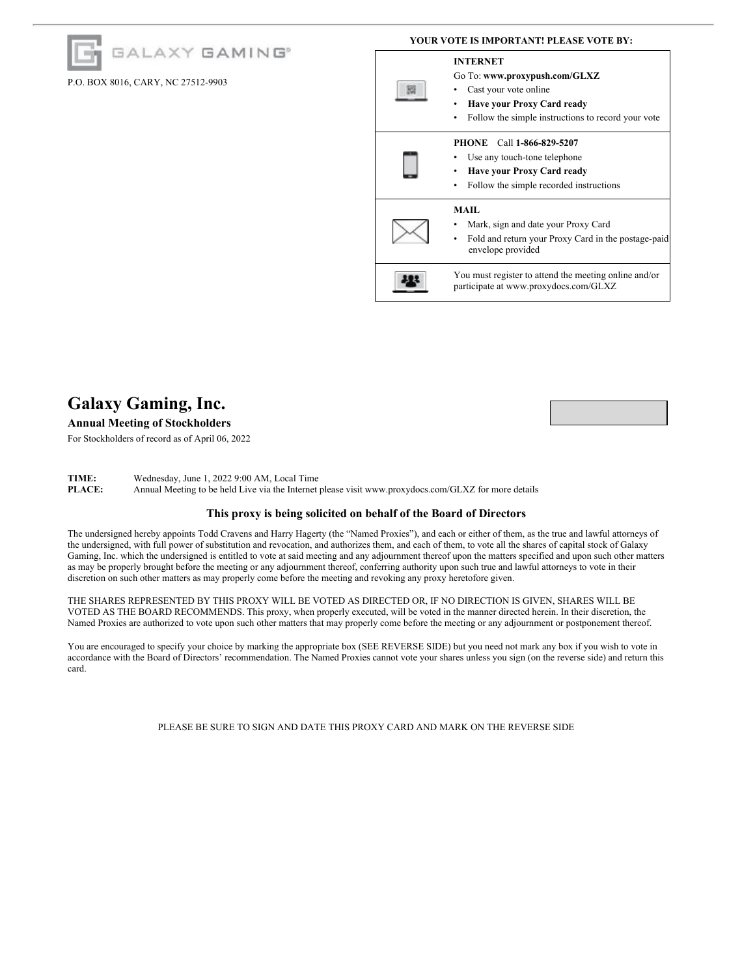## GALAXY GAMING<sup>®</sup>

## P.O. BOX 8016, CARY, NC 27512-9903

### **YOUR VOTE IS IMPORTANT! PLEASE VOTE BY:**

#### **INTERNET**



# **Galaxy Gaming, Inc.**

## **Annual Meeting of Stockholders**

For Stockholders of record as of April 06, 2022

**TIME:** Wednesday, June 1, 2022 9:00 AM, Local Time **PLACE:** Annual Meeting to be held Live via the Internet **PLACE:** Annual Meeting to be held Live via the Internet please visit www.proxydocs.com/GLXZ for more details

## **This proxy is being solicited on behalf of the Board of Directors**

The undersigned hereby appoints Todd Cravens and Harry Hagerty (the "Named Proxies"), and each or either of them, as the true and lawful attorneys of the undersigned, with full power of substitution and revocation, and authorizes them, and each of them, to vote all the shares of capital stock of Galaxy Gaming, Inc. which the undersigned is entitled to vote at said meeting and any adjournment thereof upon the matters specified and upon such other matters as may be properly brought before the meeting or any adjournment thereof, conferring authority upon such true and lawful attorneys to vote in their discretion on such other matters as may properly come before the meeting and revoking any proxy heretofore given.

THE SHARES REPRESENTED BY THIS PROXY WILL BE VOTED AS DIRECTED OR, IF NO DIRECTION IS GIVEN, SHARES WILL BE VOTED AS THE BOARD RECOMMENDS. This proxy, when properly executed, will be voted in the manner directed herein. In their discretion, the Named Proxies are authorized to vote upon such other matters that may properly come before the meeting or any adjournment or postponement thereof.

You are encouraged to specify your choice by marking the appropriate box (SEE REVERSE SIDE) but you need not mark any box if you wish to vote in accordance with the Board of Directors' recommendation. The Named Proxies cannot vote your shares unless you sign (on the reverse side) and return this card.

PLEASE BE SURE TO SIGN AND DATE THIS PROXY CARD AND MARK ON THE REVERSE SIDE